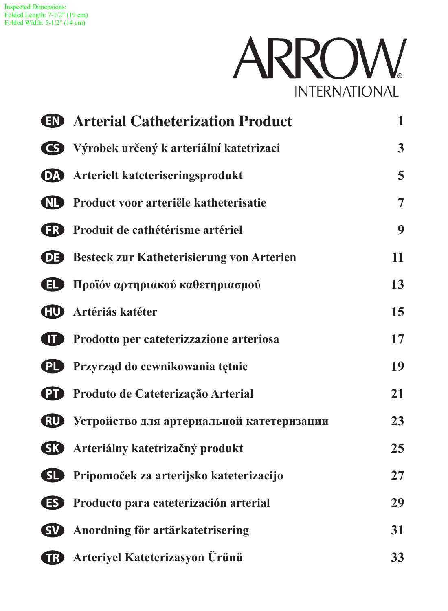

| <b>ED</b> Arterial Catheterization Product          |    |  |  |  |  |
|-----------------------------------------------------|----|--|--|--|--|
| S Výrobek určený k arteriální katetrizaci           | 3  |  |  |  |  |
| <b>DA</b> Arterielt kateteriseringsprodukt          |    |  |  |  |  |
| <b>ND</b> Product voor arteriële katheterisatie     |    |  |  |  |  |
| <b>ED</b> Produit de cathétérisme artériel          | 9  |  |  |  |  |
| <b>DE</b> Besteck zur Katheterisierung von Arterien | 11 |  |  |  |  |
| <b>1</b> Προϊόν αρτηριακού καθετηριασμού            | 13 |  |  |  |  |
| <b>CD</b> Artériás katéter                          | 15 |  |  |  |  |
| <b>T</b> Prodotto per cateterizzazione arteriosa    | 17 |  |  |  |  |
| <b>PL</b> Przyrząd do cewnikowania tętnic           | 19 |  |  |  |  |
| <b>PD</b> Produto de Cateterização Arterial         | 21 |  |  |  |  |
| <b>RU</b> Устройство для артериальной катетеризации | 23 |  |  |  |  |
| <b>SK</b> Arteriálny katetrizačný produkt           | 25 |  |  |  |  |
| SI Pripomoček za arterijsko kateterizacijo          | 27 |  |  |  |  |
| <b>ES</b> Producto para cateterización arterial     | 29 |  |  |  |  |
| <b>SV</b> Anordning för artärkatetrisering          | 31 |  |  |  |  |
| <b>B</b> Arteriyel Kateterizasyon Ürünü             | 33 |  |  |  |  |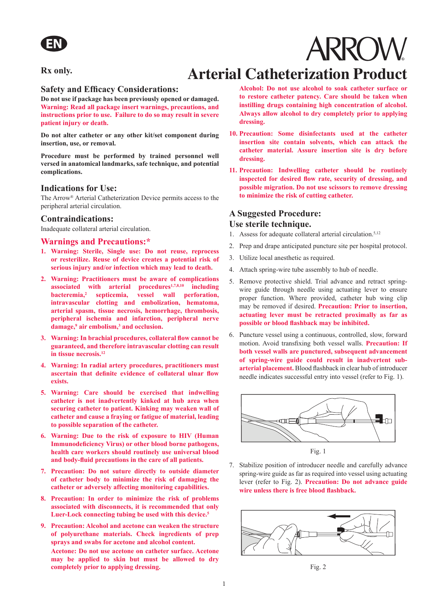#### **Rx only.**

## **Arterial Catheterization Product**

#### **Safety and Efficacy Considerations:**

**Do not use if package has been previously opened or damaged. Warning: Read all package insert warnings, precautions, and instructions prior to use. Failure to do so may result in severe patient injury or death.** 

**Do not alter catheter or any other kit/set component during insertion, use, or removal.**

**Procedure must be performed by trained personnel well versed in anatomical landmarks, safe technique, and potential complications.**

#### **Indications for Use:**

The Arrow® Arterial Catheterization Device permits access to the peripheral arterial circulation.

#### **Contraindications:**

Inadequate collateral arterial circulation.

#### **Warnings and Precautions:\***

- **1. Warning: Sterile, Single use: Do not reuse, reprocess or resterilize. Reuse of device creates a potential risk of serious injury and/or infection which may lead to death.**
- **2. Warning: Practitioners must be aware of complications associated with arterial procedures1,7,8,10 including bacteremia,<sup>2</sup> septicemia, vessel wall perforation, intravascular clotting and embolization, hematoma, arterial spasm, tissue necrosis, hemorrhage, thrombosis, peripheral ischemia and infarction, peripheral nerve damage,9 air embolism,3 and occlusion.**
- **3. Warning: In brachial procedures, collateral flow cannot be guaranteed, and therefore intravascular clotting can result in tissue necrosis.<sup>12</sup>**
- **4. Warning: In radial artery procedures, practitioners must ascertain that definite evidence of collateral ulnar flow exists.**
- **5. Warning: Care should be exercised that indwelling catheter is not inadvertently kinked at hub area when securing catheter to patient. Kinking may weaken wall of catheter and cause a fraying or fatigue of material, leading to possible separation of the catheter.**
- **6. Warning: Due to the risk of exposure to HIV (Human Immunodeficiency Virus) or other blood borne pathogens, health care workers should routinely use universal blood and body-fluid precautions in the care of all patients.**
- **7. Precaution: Do not suture directly to outside diameter of catheter body to minimize the risk of damaging the catheter or adversely affecting monitoring capabilities.**
- **8. Precaution: In order to minimize the risk of problems associated with disconnects, it is recommended that only Luer-Lock connecting tubing be used with this device.<sup>5</sup>**
- **9. Precaution: Alcohol and acetone can weaken the structure of polyurethane materials. Check ingredients of prep sprays and swabs for acetone and alcohol content. Acetone: Do not use acetone on catheter surface. Acetone may be applied to skin but must be allowed to dry completely prior to applying dressing.**

**Alcohol: Do not use alcohol to soak catheter surface or to restore catheter patency. Care should be taken when instilling drugs containing high concentration of alcohol. Always allow alcohol to dry completely prior to applying dressing.** 

**ARROW** 

- **10. Precaution: Some disinfectants used at the catheter insertion site contain solvents, which can attack the catheter material. Assure insertion site is dry before dressing.**
- **11. Precaution: Indwelling catheter should be routinely inspected for desired flow rate, security of dressing, and possible migration. Do not use scissors to remove dressing to minimize the risk of cutting catheter.**

#### **A Suggested Procedure: Use sterile technique.**

- 1. Assess for adequate collateral arterial circulation.<sup>5,12</sup>
- 2. Prep and drape anticipated puncture site per hospital protocol.
- 3. Utilize local anesthetic as required.
- 4. Attach spring-wire tube assembly to hub of needle.
- 5. Remove protective shield. Trial advance and retract springwire guide through needle using actuating lever to ensure proper function. Where provided, catheter hub wing clip may be removed if desired. **Precaution: Prior to insertion, actuating lever must be retracted proximally as far as possible or blood flashback may be inhibited.**
- 6. Puncture vessel using a continuous, controlled, slow, forward motion. Avoid transfixing both vessel walls. **Precaution: If both vessel walls are punctured, subsequent advancement of spring-wire guide could result in inadvertent subarterial placement.** Blood flashback in clear hub of introducer needle indicates successful entry into vessel (refer to Fig. 1).



7. Stabilize position of introducer needle and carefully advance spring-wire guide as far as required into vessel using actuating lever (refer to Fig. 2). **Precaution: Do not advance guide wire unless there is free blood flashback.**



Fig. 2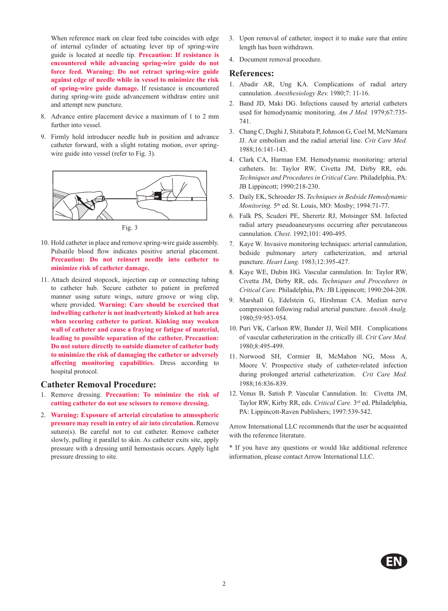When reference mark on clear feed tube coincides with edge of internal cylinder of actuating lever tip of spring-wire guide is located at needle tip. **Precaution: If resistance is encountered while advancing spring-wire guide do not force feed. Warning: Do not retract spring-wire guide against edge of needle while in vessel to minimize the risk of spring-wire guide damage.** If resistance is encountered during spring-wire guide advancement withdraw entire unit and attempt new puncture.

- 8. Advance entire placement device a maximum of 1 to 2 mm further into vessel.
- 9. Firmly hold introducer needle hub in position and advance catheter forward, with a slight rotating motion, over springwire guide into vessel (refer to Fig. 3).



- 10. Hold catheter in place and remove spring-wire guide assembly. Pulsatile blood flow indicates positive arterial placement. **Precaution: Do not reinsert needle into catheter to minimize risk of catheter damage.**
- 11. Attach desired stopcock, injection cap or connecting tubing to catheter hub. Secure catheter to patient in preferred manner using suture wings, suture groove or wing clip, where provided. **Warning: Care should be exercised that indwelling catheter is not inadvertently kinked at hub area when securing catheter to patient. Kinking may weaken wall of catheter and cause a fraying or fatigue of material, leading to possible separation of the catheter. Precaution: Do not suture directly to outside diameter of catheter body to minimize the risk of damaging the catheter or adversely affecting monitoring capabilities.** Dress according to hospital protocol.

#### **Catheter Removal Procedure:**

- 1. Remove dressing. **Precaution: To minimize the risk of cutting catheter do not use scissors to remove dressing.**
- 2. **Warning: Exposure of arterial circulation to atmospheric pressure may result in entry of air into circulation.** Remove suture(s). Be careful not to cut catheter. Remove catheter slowly, pulling it parallel to skin. As catheter exits site, apply pressure with a dressing until hemostasis occurs. Apply light pressure dressing to site.
- 3. Upon removal of catheter, inspect it to make sure that entire length has been withdrawn.
- 4. Document removal procedure.

#### **References:**

- 1. Abadir AR, Ung KA. Complications of radial artery cannulation. *Anesthesiology Rev.* 1980;7: 11-16.
- 2. Band JD, Maki DG. Infections caused by arterial catheters used for hemodynamic monitoring. *Am J Med.* 1979;67:735- 741.
- 3. Chang C, Dughi J, Shitabata P, Johnson G, Coel M, McNamara JJ. Air embolism and the radial arterial line. *Crit Care Med.*  1988;16:141-143.
- 4. Clark CA, Harman EM. Hemodynamic monitoring: arterial catheters. In: Taylor RW, Civetta JM, Dirby RR, eds. *Techniques and Procedures in Critical Care.* Philadelphia, PA: JB Lippincott; 1990:218-230.
- 5. Daily EK, Schroeder JS. *Techniques in Bedside Hemodynamic Monitoring.* 5th ed. St. Louis, MO: Mosby; 1994:71-77.
- 6. Falk PS, Scuderi PE, Sherertz RJ, Motsinger SM. Infected radial artery pseudoaneurysms occurring after percutaneous cannulation. *Chest.* 1992;101: 490-495.
- 7. Kaye W. Invasive monitoring techniques: arterial cannulation, bedside pulmonary artery catheterization, and arterial puncture. *Heart Lung.* 1983;12:395-427.
- 8. Kaye WE, Dubin HG. Vascular cannulation. In: Taylor RW, Civetta JM, Dirby RR, eds. *Techniques and Procedures in Critical Care.* Philadelphia, PA: JB Lippincott; 1990:204-208.
- 9. Marshall G, Edelstein G, Hirshman CA. Median nerve compression following radial arterial puncture. *Anesth Analg.*  1980;59:953-954.
- 10. Puri VK, Carlson RW, Bander JJ, Weil MH. Complications of vascular catheterization in the critically ill. *Crit Care Med.*  1980;8:495-499.
- 11. Norwood SH, Cormier B, McMahon NG, Moss A, Moore V. Prospective study of catheter-related infection during prolonged arterial catheterization. *Crit Care Med.*  1988;16:836-839.
- 12. Venus B, Satish P. Vascular Cannulation. In: Civetta JM, Taylor RW, Kirby RR, eds. *Critical Care.* 3rd ed. Philadelphia, PA: Lippincott-Raven Publishers; 1997:539-542.

Arrow International LLC recommends that the user be acquainted with the reference literature.

\* If you have any questions or would like additional reference information, please contact Arrow International LLC.

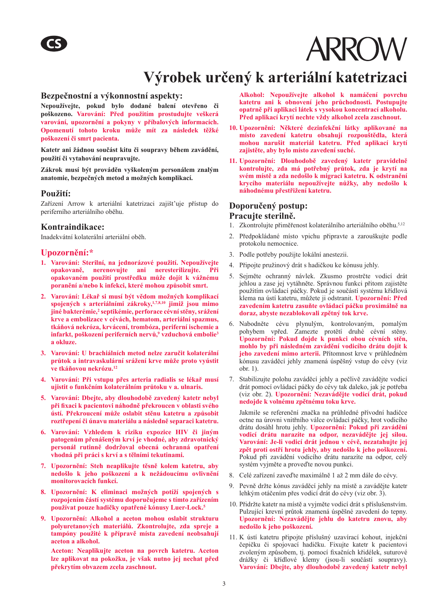

## **Výrobek určený k arteriální katetrizaci**

#### **Bezpečnostní a výkonnostní aspekty:**

**Nepoužívejte, pokud bylo dodané balení otevřeno či poškozeno. Varování: Před použitím prostudujte veškerá varování, upozornění a pokyny v příbalových informacích. Opomenutí tohoto kroku může mít za následek těžké poškození či smrt pacienta.** 

**Katetr ani žádnou součást kitu či soupravy během zavádění, použití či vytahování neupravujte.** 

**Zákrok musí být prováděn vyškoleným personálem znalým anatomie, bezpečných metod a možných komplikací.** 

#### **Použití:**

Zařízení Arrow k arteriální katetrizaci zajišt'uje přístup do periferního arteriálního oběhu.

#### **Kontraindikace:**

Inadekvátní kolaterální arteriální oběh.

#### **Upozornění:\***

- **1. Varování: Sterilní, na jednorázové použití. Nepoužívejte opakovaně, nerenovujte ani neresterilizujte. Při opakovaném použití prostředku může dojít k vážnému poranění a/nebo k infekci, které mohou způsobit smrt.**
- **2. Varování: Lékař si musí být vědom možných komplikací spojených s arteriálními zákroky,1,7,8,10 jimiž jsou mimo jiné bakterémie,2 septikémie, perforace cévní stěny, srážení krve a embolizace v cévách, hematom, arteriální spazmus, tkáňová nekróza, krvácení, trombóza, periferní ischemie a infarkt, poškození periferních nervů,9 vzduchová embolie<sup>3</sup> a okluze.**
- **3. Varování: U brachiálních metod nelze zaručit kolaterální průtok a intravaskulární srážení krve může proto vyústit ve tkáňovou nekrózu.<sup>12</sup>**
- **4. Varování: Při vstupu přes arteria radialis se lékař musí ujistit o funkčním kolaterálním průtoku v a. ulnaris.**
- **5. Varování: Dbejte, aby dlouhodobě zavedený katetr nebyl při fixaci k pacientovi náhodně překroucen v oblasti svého ústí. Překroucení může oslabit stěnu katetru a způsobit roztřepení či únavu materiálu a následně separaci katetru.**
- **6. Varování: Vzhledem k riziku expozice HIV či jiným patogenům přenášeným krví je vhodné, aby zdravotnický personál rutinně dodržoval obecná ochranná opatření vhodná při práci s krví a s tělními tekutinami.**
- **7. Upozornění: Steh neaplikujte těsně kolem katetru, aby nedošlo k jeho poškození a k nežádoucímu ovlivnění monitorovacích funkcí.**
- **8. Upozornění: K eliminaci možných potíží spojených s rozpojením částí systému doporučujeme s tímto zařízením používat pouze hadičky opatřené kónusy Luer-Lock.<sup>5</sup>**
- **9. Upozornění: Alkohol a aceton mohou oslabit strukturu polyuretanových materiálů. Zkontrolujte, zda spreje a tampóny použité k přípravě místa zavedení neobsahují aceton a alkohol.**

**Aceton: Neaplikujte aceton na povrch katetru. Aceton lze aplikovat na pokožku, je však nutno jej nechat před překrytím obvazem zcela zaschnout.** 

**Alkohol: Nepoužívejte alkohol k namáčení povrchu katetru ani k obnovení jeho průchodnosti. Postupujte opatrně při aplikaci látek s vysokou koncentrací alkoholu. Před aplikací krytí nechte vždy alkohol zcela zaschnout.** 

- **10. Upozornění: Některé dezinfekční látky aplikované na místo zavedení katetru obsahují rozpouštědla, která mohou narušit materiál katetru. Před aplikací krytí zajistěte, aby bylo místo zavedení suché.**
- **11. Upozornění: Dlouhodobě zavedený katetr pravidelně kontrolujte, zda má potřebný průtok, zda je krytí na svém místě a zda nedošlo k migraci katetru. K odstranění krycího materiálu nepoužívejte nůžky, aby nedošlo k náhodnému přestřižení katetru.**

#### **Doporučený postup: Pracujte sterilně.**

- 1. Zkontrolujte přiměřenost kolaterálního arteriálního oběhu.5,12
- 2. Předpokládané místo vpichu připravte a zarouškujte podle protokolu nemocnice.
- 3. Podle potřeby použijte lokální anestezii.
- 4. Připojte pružinový drát s hadičkou ke kónusu jehly.
- 5. Sejměte ochranný návlek. Zkusmo prostrčte vodicí drát jehlou a zase jej vytáhněte. Správnou funkci přitom zajistěte použitím ovládací páčky. Pokud je součástí systému křídlová klema na ústí katetru, můžete ji odstranit. **Upozornění: Před zavedením katetru zasuňte ovládací páčku proximálně na doraz, abyste nezablokovali zpětný tok krve.**
- 6. Nabodněte cévu plynulým, kontrolovaným, pomalým pohybem vpřed. Zamezte protětí druhé cévní stěny. **Upozornění: Pokud dojde k punkci obou cévních stěn, mohlo by při následném zavádění vodicího drátu dojít k jeho zavedení mimo arterii.** Přítomnost krve v průhledném kónusu zaváděcí jehly znamená úspěšný vstup do cévy (viz obr. 1).
- 7. Stabilizujte polohu zaváděcí jehly a pečlivě zavádějte vodicí drát pomocí ovládací páčky do cévy tak daleko, jak je potřeba (viz obr. 2). **Upozornění: Nezavádějte vodicí drát, pokud nedojde k volnému zpětnému toku krve.**

Jakmile se referenční značka na průhledné přívodní hadičce octne na úrovni vnitřního válce ovládací páčky, hrot vodicího drátu dosáhl hrotu jehly. **Upozornění: Pokud při zavádění vodicí drátu narazíte na odpor, nezavádějte jej silou. Varování: Je-li vodicí drát jednou v cévě, nezatahujte jej zpět proti ostří hrotu jehly, aby nedošlo k jeho poškození.**  Pokud při zavádění vodicího drátu narazíte na odpor, celý systém vyjměte a proveďte novou punkci.

- 8. Celé zařízení zaveďte maximálně 1 až 2 mm dále do cévy.
- 9. Pevně držte kónus zaváděcí jehly na místě a zavádějte katetr lehkým otáčením přes vodicí drát do cévy (viz obr. 3).
- 10. Přidržte katetr na místě a vyjměte vodicí drát s příslušenstvím. Pulzující krevní průtok znamená úspěšné zavedení do tepny. **Upozornění: Nezavádějte jehlu do katetru znovu, aby nedošlo k jeho poškození.**
- 11. K ústí katetru připojte příslušný uzavírací kohout, injekční čepičku či spojovací hadičku. Fixujte katetr k pacientovi zvoleným způsobem, tj. pomocí fixačních křidélek, suturové drážky či křídlové klemy (jsou-li součástí soupravy). **Varování: Dbejte, aby dlouhodobě zavedený katetr nebyl**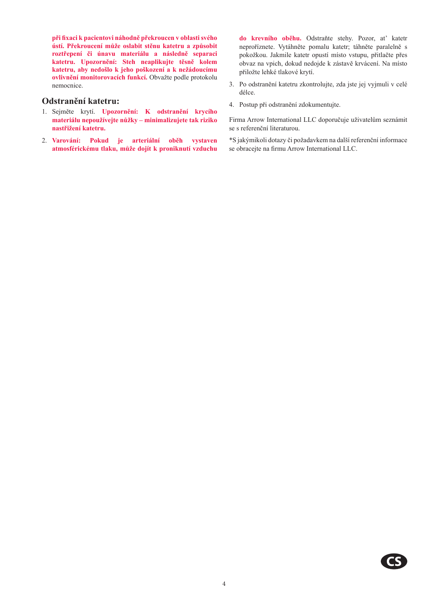**při fixaci k pacientovi náhodně překroucen v oblasti svého ústí. Překroucení může oslabit stěnu katetru a způsobit roztřepení či únavu materiálu a následně separaci katetru. Upozornění: Steh neaplikujte těsně kolem katetru, aby nedošlo k jeho poškození a k nežádoucímu ovlivnění monitorovacích funkcí.** Obvažte podle protokolu nemocnice.

#### **Odstranění katetru:**

- 1. Sejměte krytí. **Upozornění: K odstranění krycího materiálu nepoužívejte nůžky – minimalizujete tak riziko nastřižení katetru.**
- 2. **Varování: Pokud je arteriální oběh vystaven atmosférickému tlaku, může dojít k proniknutí vzduchu**

**do krevního oběhu.** Odstraňte stehy. Pozor, at' katetr neproříznete. Vytáhněte pomalu katetr; táhněte paralelně s pokožkou. Jakmile katetr opustí místo vstupu, přitlačte přes obvaz na vpich, dokud nedojde k zástavě krvácení. Na místo přiložte lehké tlakové krytí.

- 3. Po odstranění katetru zkontrolujte, zda jste jej vyjmuli v celé délce.
- 4. Postup při odstranění zdokumentujte.

Firma Arrow International LLC doporučuje uživatelům seznámit se s referenční literaturou.

\*S jakýmikoli dotazy či požadavkem na další referenční informace se obracejte na firmu Arrow International LLC.

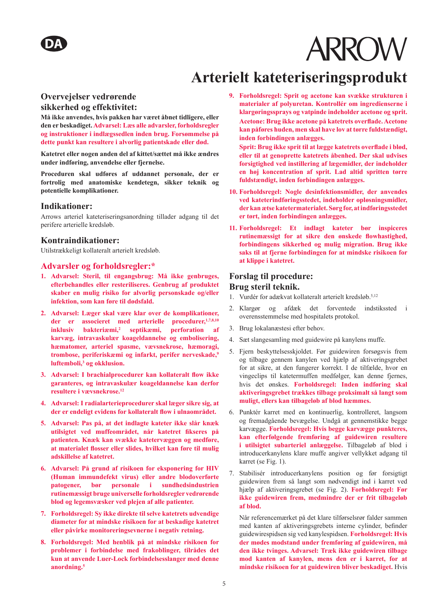### **Arterielt kateteriseringsprodukt**

#### **Overvejelser vedrørende**

#### **sikkerhed og effektivitet:**

**Må ikke anvendes, hvis pakken har været åbnet tidligere, eller den er beskadiget. Advarsel: Læs alle advarsler, forholdsregler og instruktioner i indlægssedlen inden brug. Forsømmelse på dette punkt kan resultere i alvorlig patientskade eller død.** 

**Katetret eller nogen anden del af kittet/sættet må ikke ændres under indføring, anvendelse eller fjernelse.** 

**Proceduren skal udføres af uddannet personale, der er fortrolig med anatomiske kendetegn, sikker teknik og potentielle komplikationer.** 

#### **Indikationer:**

Arrows arteriel kateteriseringsanordning tillader adgang til det perifere arterielle kredsløb.

#### **Kontraindikationer:**

Utilstrækkeligt kollateralt arterielt kredsløb.

#### **Advarsler og forholdsregler:\***

- **1. Advarsel: Steril, til engangsbrug: Må ikke genbruges, efterbehandles eller resteriliseres. Genbrug af produktet skaber en mulig risiko for alvorlig personskade og/eller infektion, som kan føre til dødsfald.**
- **2. Advarsel: Læger skal være klar over de komplikationer, der er associeret med arterielle procedurer,1,7,8,10 inklusiv bakteriæmi,<sup>2</sup> septikæmi, perforation af karvæg, intravaskulær koageldannelse og embolisering, hæmatomer, arteriel spasme, vævsnekrose, hæmoragi, trombose, periferiskæmi og infarkt, perifer nerveskade,<sup>9</sup> luftemboli,3 og okklusion.**
- **3. Advarsel: I brachialprocedurer kan kollateralt flow ikke garanteres, og intravaskulær koageldannelse kan derfor resultere i vævsnekrose.<sup>12</sup>**
- **4. Advarsel: I radialarterieprocedurer skal læger sikre sig, at der er endeligt evidens for kollateralt flow i ulnaområdet.**
- **5. Advarsel: Pas på, at det indlagte kateter ikke slår knæk utilsigtet ved muffeområdet, når katetret fikseres på patienten. Knæk kan svække katetervæggen og medføre, at materialet flosser eller slides, hvilket kan føre til mulig adskillelse af katetret.**
- **6. Advarsel: På grund af risikoen for eksponering for HIV (Human immundefekt virus) eller andre blodoverførte patogener, bør personale i sundhedsindustrien rutinemæssigt bruge universelle forholdsregler vedrørende blod og legemsvæsker ved plejen af alle patienter.**
- **7. Forholdsregel: Sy ikke direkte til selve katetrets udvendige diameter for at mindske risikoen for at beskadige katetret eller påvirke monitoreringsevnerne i negativ retning.**
- **8. Forholdsregel: Med henblik på at mindske risikoen for problemer i forbindelse med frakoblinger, tilrådes det kun at anvende Luer-Lock forbindelsesslanger med denne anordning.<sup>5</sup>**

**9. Forholdsregel: Sprit og acetone kan svække strukturen i materialer af polyuretan. Kontrollér om ingredienserne i klargøringssprays og vatpinde indeholder acetone og sprit. Acetone: Brug ikke acetone på katetrets overflade. Acetone kan påføres huden, men skal have lov at tørre fuldstændigt, inden forbindingen anlægges.** 

**Sprit: Brug ikke sprit til at lægge katetrets overflade i blød, eller til at genoprette katetrets åbenhed. Der skal udvises forsigtighed ved instillering af lægemidler, der indeholder en høj koncentration af sprit. Lad altid spritten tørre fuldstændigt, inden forbindingen anlægges.** 

- **10. Forholdsregel: Nogle desinfektionsmidler, der anvendes ved kateterindføringsstedet, indeholder opløsningsmidler, der kan ætse katetermaterialet. Sørg for, at indføringsstedet er tørt, inden forbindingen anlægges.**
- **11. Forholdsregel: Et indlagt kateter bør inspiceres rutinemæssigt for at sikre den ønskede flowhastighed, forbindingens sikkerhed og mulig migration. Brug ikke saks til at fjerne forbindingen for at mindske risikoen for at klippe i katetret.**

#### **Forslag til procedure: Brug steril teknik.**

- 1. Vurdér for adækvat kollateralt arterielt kredsløb.<sup>5,12</sup>
- 2. Klargør og afdæk det forventede indstikssted i overensstemmelse med hospitalets protokol.
- 3. Brug lokalanæstesi efter behov.
- 4. Sæt slangesamling med guidewire på kanylens muffe.
- 5. Fjern beskyttelsesskjoldet. Før guidewiren forsøgsvis frem og tilbage gennem kanylen ved hjælp af aktiveringsgrebet for at sikre, at den fungerer korrekt. I de tilfælde, hvor en vingeclips til katetermuffen medfølger, kan denne fjernes, hvis det ønskes. **Forholdsregel: Inden indføring skal aktiveringsgrebet trækkes tilbage proksimalt så langt som muligt, ellers kan tilbageløb af blod hæmmes.**
- 6. Punktér karret med en kontinuerlig, kontrolleret, langsom og fremadgående bevægelse. Undgå at gennemstikke begge karvægge. **Forholdsregel: Hvis begge karvægge punkteres, kan efterfølgende fremføring af guidewiren resultere i utilsigtet subarteriel anlæggelse.** Tilbageløb af blod i introducerkanylens klare muffe angiver vellykket adgang til karret (se Fig. 1).
- 7. Stabilisér introducerkanylens position og før forsigtigt guidewiren frem så langt som nødvendigt ind i karret ved hjælp af aktiveringsgrebet (se Fig. 2). **Forholdsregel: Før ikke guidewiren frem, medmindre der er frit tilbageløb af blod.**

Når referencemærket på det klare tilførselsrør falder sammen med kanten af aktiveringsgrebets interne cylinder, befinder guidewirespidsen sig ved kanylespidsen. **Forholdsregel: Hvis der mødes modstand under fremføring af guidewiren, må den ikke tvinges. Advarsel: Træk ikke guidewiren tilbage mod kanten af kanylen, mens den er i karret, for at mindske risikoen for at guidewiren bliver beskadiget.** Hvis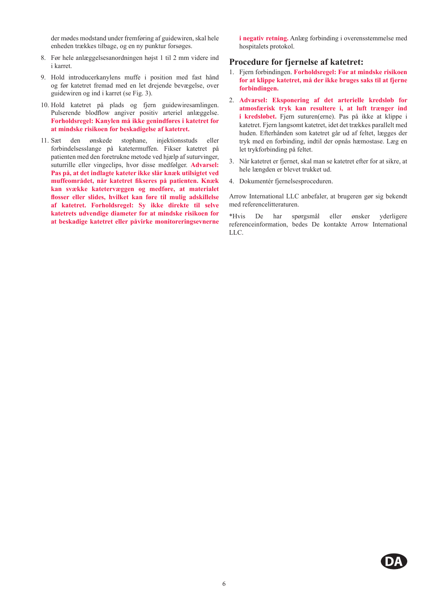der mødes modstand under fremføring af guidewiren, skal hele enheden trækkes tilbage, og en ny punktur forsøges.

- 8. Før hele anlæggelsesanordningen højst 1 til 2 mm videre ind i karret.
- 9. Hold introducerkanylens muffe i position med fast hånd og før katetret fremad med en let drejende bevægelse, over guidewiren og ind i karret (se Fig. 3).
- 10. Hold katetret på plads og fjern guidewiresamlingen. Pulserende blodflow angiver positiv arteriel anlæggelse. **Forholdsregel: Kanylen må ikke genindføres i katetret for at mindske risikoen for beskadigelse af katetret.**
- 11. Sæt den ønskede stophane, injektionsstuds eller forbindelsesslange på katetermuffen. Fikser katetret på patienten med den foretrukne metode ved hjælp af suturvinger, suturrille eller vingeclips, hvor disse medfølger. **Advarsel: Pas på, at det indlagte kateter ikke slår knæk utilsigtet ved muffeområdet, når katetret fikseres på patienten. Knæk kan svække katetervæggen og medføre, at materialet flosser eller slides, hvilket kan føre til mulig adskillelse af katetret. Forholdsregel: Sy ikke direkte til selve katetrets udvendige diameter for at mindske risikoen for at beskadige katetret eller påvirke monitoreringsevnerne**

**i negativ retning.** Anlæg forbinding i overensstemmelse med hospitalets protokol.

#### **Procedure for fjernelse af katetret:**

- 1. Fjern forbindingen. **Forholdsregel: For at mindske risikoen for at klippe katetret, må der ikke bruges saks til at fjerne forbindingen.**
- 2. **Advarsel: Eksponering af det arterielle kredsløb for atmosfærisk tryk kan resultere i, at luft trænger ind i kredsløbet.** Fjern suturen(erne). Pas på ikke at klippe i katetret. Fjern langsomt katetret, idet det trækkes parallelt med huden. Efterhånden som katetret går ud af feltet, lægges der tryk med en forbinding, indtil der opnås hæmostase. Læg en let trykforbinding på feltet.
- 3. Når katetret er fjernet, skal man se katetret efter for at sikre, at hele længden er blevet trukket ud.
- 4. Dokumentér fjernelsesproceduren.

Arrow International LLC anbefaler, at brugeren gør sig bekendt med referencelitteraturen.

\*Hvis De har spørgsmål eller ønsker yderligere referenceinformation, bedes De kontakte Arrow International LLC.

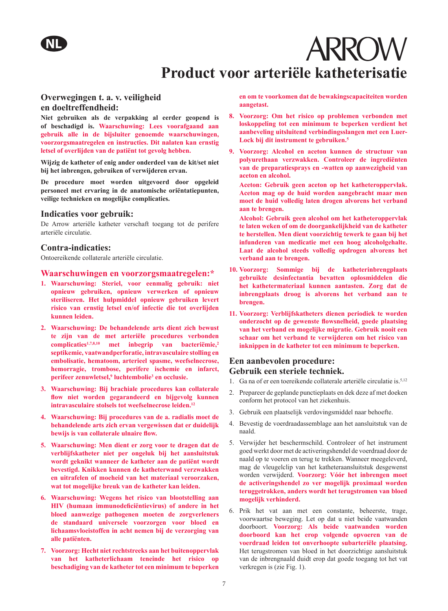# **ARROW Product voor arteriële katheterisatie**

#### **Overwegingen t. a. v. veiligheid en doeltreffendheid:**

**Niet gebruiken als de verpakking al eerder geopend is of beschadigd is. Waarschuwing: Lees voorafgaand aan gebruik alle in de bijsluiter genoemde waarschuwingen, voorzorgsmaatregelen en instructies. Dit nalaten kan ernstig letsel of overlijden van de patiënt tot gevolg hebben.** 

**Wijzig de katheter of enig ander onderdeel van de kit/set niet bij het inbrengen, gebruiken of verwijderen ervan.** 

**De procedure moet worden uitgevoerd door opgeleid personeel met ervaring in de anatomische oriëntatiepunten, veilige technieken en mogelijke complicaties.** 

#### **Indicaties voor gebruik:**

De Arrow arteriële katheter verschaft toegang tot de perifere arteriële circulatie.

#### **Contra-indicaties:**

Ontoereikende collaterale arteriële circulatie.

#### **Waarschuwingen en voorzorgsmaatregelen:\***

- **1. Waarschuwing: Steriel, voor eenmalig gebruik: niet opnieuw gebruiken, opnieuw verwerken of opnieuw steriliseren. Het hulpmiddel opnieuw gebruiken levert risico van ernstig letsel en/of infectie die tot overlijden kunnen leiden.**
- **2. Waarschuwing: De behandelende arts dient zich bewust te zijn van de met arteriële procedures verbonden complicaties1,7,8,10 met inbegrip van bacteriëmie,<sup>2</sup> septikemie, vaatwandperforatie, intravasculaire stolling en embolisatie, hematoom, arterieel spasme, weefselnecrose, hemorragie, trombose, perifere ischemie en infarct, perifeer zenuwletsel,9 luchtembolie3 en occlusie.**
- **3. Waarschuwing: Bij brachiale procedures kan collaterale flow niet worden gegarandeerd en bijgevolg kunnen intravasculaire stolsels tot weefselnecrose leiden.<sup>12</sup>**
- **4. Waarschuwing: Bij procedures van de a. radialis moet de behandelende arts zich ervan vergewissen dat er duidelijk bewijs is van collaterale ulnaire flow.**
- **5. Waarschuwing: Men dient er zorg voor te dragen dat de verblijfskatheter niet per ongeluk bij het aansluitstuk wordt geknikt wanneer de katheter aan de patiënt wordt bevestigd. Knikken kunnen de katheterwand verzwakken en uitrafelen of moeheid van het materiaal veroorzaken, wat tot mogelijke breuk van de katheter kan leiden.**
- **6. Waarschuwing: Wegens het risico van blootstelling aan HIV (humaan immunodeficiëntievirus) of andere in het bloed aanwezige pathogenen moeten de zorgverleners de standaard universele voorzorgen voor bloed en lichaamsvloeistoffen in acht nemen bij de verzorging van alle patiënten.**
- **7. Voorzorg: Hecht niet rechtstreeks aan het buitenoppervlak van het katheterlichaam teneinde het risico op beschadiging van de katheter tot een minimum te beperken**

**en om te voorkomen dat de bewakingscapaciteiten worden aangetast.** 

- **8. Voorzorg: Om het risico op problemen verbonden met loskoppeling tot een minimum te beperken verdient het aanbeveling uitsluitend verbindingsslangen met een Luer-Lock bij dit instrument te gebruiken.<sup>5</sup>**
- **9. Voorzorg: Alcohol en aceton kunnen de structuur van polyurethaan verzwakken. Controleer de ingrediënten van de preparatiesprays en -watten op aanwezigheid van aceton en alcohol.** 
	- **Aceton: Gebruik geen aceton op het katheteroppervlak. Aceton mag op de huid worden aangebracht maar men moet de huid volledig laten drogen alvorens het verband aan te brengen.**
	- **Alcohol: Gebruik geen alcohol om het katheteroppervlak te laten weken of om de doorgankelijkheid van de katheter te herstellen. Men dient voorzichtig tewerk te gaan bij het infunderen van medicatie met een hoog alcoholgehalte. Laat de alcohol steeds volledig opdrogen alvorens het verband aan te brengen.**
- **10. Voorzorg: Sommige bij de katheterinbrengplaats gebruikte desinfectantia bevatten oplosmiddelen die het kathetermateriaal kunnen aantasten. Zorg dat de inbrengplaats droog is alvorens het verband aan te brengen.**
- **11. Voorzorg: Verblijfskatheters dienen periodiek te worden onderzocht op de gewenste flowsnelheid, goede plaatsing van het verband en mogelijke migratie. Gebruik nooit een schaar om het verband te verwijderen om het risico van inknippen in de katheter tot een minimum te beperken.**

#### **Een aanbevolen procedure: Gebruik een steriele techniek.**

- 1. Ga na of er een toereikende collaterale arteriële circulatie is.<sup>5,12</sup>
- 2. Prepareer de geplande punctieplaats en dek deze af met doeken conform het protocol van het ziekenhuis.
- 3. Gebruik een plaatselijk verdovingsmiddel naar behoefte.
- 4. Bevestig de voerdraadassemblage aan het aansluitstuk van de naald.
- 5. Verwijder het beschermschild. Controleer of het instrument goed werkt door met de activeringshendel de voerdraad door de naald op te voeren en terug te trekken. Wanneer meegeleverd, mag de vleugelclip van het katheteraansluitstuk desgewenst worden verwijderd. **Voorzorg: Vóór het inbrengen moet de activeringshendel zo ver mogelijk proximaal worden teruggetrokken, anders wordt het terugstromen van bloed mogelijk verhinderd.**
- 6. Prik het vat aan met een constante, beheerste, trage, voorwaartse beweging. Let op dat u niet beide vaatwanden doorboort. **Voorzorg: Als beide vaatwanden worden doorboord kan het erop volgende opvoeren van de voerdraad leiden tot onverhoopte subarteriële plaatsing.** Het terugstromen van bloed in het doorzichtige aansluitstuk van de inbrengnaald duidt erop dat goede toegang tot het vat verkregen is (zie Fig. 1).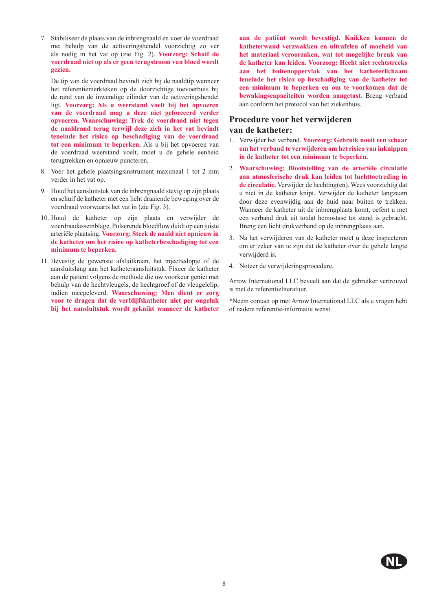7. Stabiliseer de plaats van de inbrengnaald en voer de voerdraad met behulp van de activeringshendel voorzichtig zo ver als nodig in het vat op (zie Fig. 2). **Voorzorg: Schuif de voerdraad niet op als er geen terugstroom van bloed wordt gezien.** 

De tip van de voerdraad bevindt zich bij de naaldtip wanneer het referentiemerkteken op de doorzichtige toevoerbuis bij de rand van de inwendige cilinder van de activeringshendel ligt. **Voorzorg: Als u weerstand voelt bij het opvoeren van de voerdraad mag u deze niet geforceerd verder opvoeren. Waarschuwing: Trek de voerdraad niet tegen de naaldrand terug terwijl deze zich in het vat bevindt teneinde het risico op beschadiging van de voerdraad tot een minimum te beperken.** Als u bij het opvoeren van de voerdraad weerstand voelt, moet u de gehele eenheid terugtrekken en opnieuw puncteren.

- 8. Voer het gehele plaatsingsinstrument maximaal 1 tot 2 mm verder in het vat op.
- 9. Houd het aansluitstuk van de inbrengnaald stevig op zijn plaats en schuif de katheter met een licht draaiende beweging over de voerdraad voorwaarts het vat in (zie Fig. 3).
- 10. Houd de katheter op zijn plaats en verwijder de voerdraadassemblage. Pulserende bloedflow duidt op een juiste arteriële plaatsing. **Voorzorg: Steek de naald niet opnieuw in de katheter om het risico op katheterbeschadiging tot een minimum te beperken.**
- 11. Bevestig de gewenste afsluitkraan, het injectiedopje of de aansluitslang aan het katheteraansluitstuk. Fixeer de katheter aan de patiënt volgens de methode die uw voorkeur geniet met behulp van de hechtvleugels, de hechtgroef of de vleugelclip, indien meegeleverd. **Waarschuwing: Men dient er zorg voor te dragen dat de verblijfskatheter niet per ongeluk bij het aansluitstuk wordt geknikt wanneer de katheter**

**aan de patiënt wordt bevestigd. Knikken kunnen de katheterwand verzwakken en uitrafelen of moeheid van het materiaal veroorzaken, wat tot mogelijke breuk van de katheter kan leiden. Voorzorg: Hecht niet rechtstreeks aan het buitenoppervlak van het katheterlichaam teneinde het risico op beschadiging van de katheter tot een minimum te beperken en om te voorkomen dat de bewakingscapaciteiten worden aangetast.** Breng verband aan conform het protocol van het ziekenhuis.

#### **Procedure voor het verwijderen**

#### **van de katheter:**

- 1. Verwijder het verband. **Voorzorg: Gebruik nooit een schaar om het verband te verwijderen om het risico van inknippen in de katheter tot een minimum te beperken.**
- 2. **Waarschuwing: Blootstelling van de arteriële circulatie aan atmosferische druk kan leiden tot luchttoetreding in de circulatie.** Verwijder de hechting(en). Wees voorzichtig dat u niet in de katheter knipt. Verwijder de katheter langzaam door deze evenwijdig aan de huid naar buiten te trekken. Wanneer de katheter uit de inbrengplaats komt, oefent u met een verband druk uit totdat hemostase tot stand is gebracht. Breng een licht drukverband op de inbrengplaats aan.
- 3. Na het verwijderen van de katheter moet u deze inspecteren om er zeker van te zijn dat de katheter over de gehele lengte verwijderd is.
- 4. Noteer de verwijderingsprocedure.

Arrow International LLC beveelt aan dat de gebruiker vertrouwd is met de referentieliteratuur.

\*Neem contact op met Arrow International LLC als u vragen hebt of nadere referentie-informatie wenst.

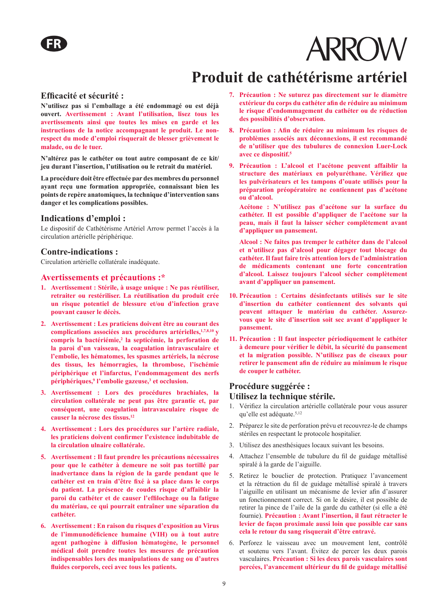## **Produit de cathétérisme artériel**

#### **Efficacité et sécurité :**

**N'utilisez pas si l'emballage a été endommagé ou est déjà ouvert. Avertissement : Avant l'utilisation, lisez tous les avertissements ainsi que toutes les mises en garde et les instructions de la notice accompagnant le produit. Le nonrespect du mode d'emploi risquerait de blesser grièvement le malade, ou de le tuer.**

**N'altérez pas le cathéter ou tout autre composant de ce kit/ jeu durant l'insertion, l'utilisation ou le retrait du matériel.**

**La procédure doit être effectuée par des membres du personnel ayant reçu une formation appropriée, connaissant bien les points de repère anatomiques, la technique d'intervention sans danger et les complications possibles.**

#### **Indications d'emploi :**

Le dispositif de Cathétérisme Artériel Arrow permet l'accès à la circulation artérielle périphérique.

#### **Contre-indications :**

Circulation artérielle collatérale inadéquate.

#### **Avertissements et précautions :\***

- **1. Avertissement : Stérile, à usage unique : Ne pas réutiliser, retraiter ou restériliser. La réutilisation du produit crée un risque potentiel de blessure et/ou d'infection grave pouvant causer le décès.**
- **2. Avertissement : Les praticiens doivent être au courant des complications associées aux procédures artérielles,1,7,8,10 y compris la bactériémie,2 la septicémie, la perforation de la paroi d'un vaisseau, la coagulation intravasculaire et l'embolie, les hématomes, les spasmes artériels, la nécrose**  des tissus, les hémorragies, la thrombose, l'ischémie **périphérique et l'infarctus, l'endommagement des nerfs périphériques,9 l'embolie gazeuse,3 et occlusion.**
- **3. Avertissement : Lors des procédures brachiales, la circulation collatérale ne peut pas être garantie et, par conséquent, une coagulation intravasculaire risque de causer la nécrose des tissus.<sup>12</sup>**
- **4. Avertissement : Lors des procédures sur l'artère radiale, les praticiens doivent confirmer l'existence indubitable de la circulation ulnaire collatérale.**
- **5. Avertissement : Il faut prendre les précautions nécessaires pour que le cathéter à demeure ne soit pas tortillé par inadvertance dans la région de la garde pendant que le cathéter est en train d'être fixé à sa place dans le corps du patient. La présence de coudes risque d'affaiblir la paroi du cathéter et de causer l'effilochage ou la fatigue du matériau, ce qui pourrait entraîner une séparation du cathéter.**
- **6. Avertissement : En raison du risques d'exposition au Virus de l'immunodéficience humaine (VIH) ou à tout autre agent pathogène à diffusion hématogène, le personnel médical doit prendre toutes les mesures de précaution indispensables lors des manipulations de sang ou d'autres fluides corporels, ceci avec tous les patients.**
- **7. Précaution : Ne suturez pas directement sur le diamètre extérieur du corps du cathéter afin de réduire au minimum le risque d'endommagement du cathéter ou de réduction des possibilités d'observation.**
- **8. Précaution : Afin de réduire au minimum les risques de problèmes associés aux déconnexions, il est recommandé de n'utiliser que des tubulures de connexion Luer-Lock avec ce dispositif.<sup>5</sup>**
- **9. Précaution : L'alcool et l'acétone peuvent affaiblir la structure des matériaux en polyuréthane. Vérifiez que les pulvérisateurs et les tampons d'ouate utilisés pour la préparation préopératoire ne contiennent pas d'acétone ou d'alcool.**

**Acétone : N'utilisez pas d'acétone sur la surface du cathéter. Il est possible d'appliquer de l'acétone sur la peau, mais il faut la laisser sécher complètement avant d'appliquer un pansement.**

**Alcool : Ne faites pas tremper le cathéter dans de l'alcool et n'utilisez pas d'alcool pour dégager tout blocage du cathéter. Il faut faire très attention lors de l'administration de médicaments contenant une forte concentration d'alcool. Laissez toujours l'alcool sécher complètement avant d'appliquer un pansement.**

- **10. Précaution : Certains désinfectants utilisés sur le site d'insertion du cathéter contiennent des solvants qui peuvent attaquer le matériau du cathéter. Assurezvous que le site d'insertion soit sec avant d'appliquer le pansement.**
- **11. Précaution : Il faut inspecter périodiquement le cathéter à demeure pour vérifier le débit, la sécurité du pansement et la migration possible. N'utilisez pas de ciseaux pour retirer le pansement afin de réduire au minimum le risque de couper le cathéter.**

#### **Procédure suggérée :**

#### **Utilisez la technique stérile.**

- 1. Vérifiez la circulation artérielle collatérale pour vous assurer qu'elle est adéquate.<sup>5,12</sup>
- 2. Préparez le site de perforation prévu et recouvrez-le de champs stériles en respectant le protocole hospitalier.
- 3. Utilisez des anesthésiques locaux suivant les besoins.
- 4. Attachez l'ensemble de tubulure du fil de guidage métallisé spiralé à la garde de l'aiguille.
- 5. Retirez le bouclier de protection. Pratiquez l'avancement et la rétraction du fil de guidage métallisé spiralé à travers l'aiguille en utilisant un mécanisme de levier afin d'assurer un fonctionnement correct. Si on le désire, il est possible de retirer la pince de l'aile de la garde du cathéter (si elle a été fournie). **Précaution : Avant l'insertion, il faut rétracter le levier de façon proximale aussi loin que possible car sans cela le retour du sang risquerait d'être entravé.**
- 6. Perforez le vaisseau avec un mouvement lent, contrôlé et soutenu vers l'avant. Évitez de percer les deux parois vasculaires. **Précaution : Si les deux parois vasculaires sont percées, l'avancement ultérieur du fil de guidage métallisé**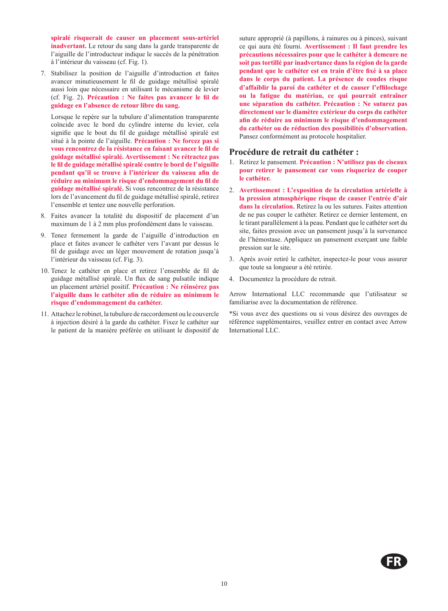**spiralé risquerait de causer un placement sous-artériel inadvertant.** Le retour du sang dans la garde transparente de l'aiguille de l'introducteur indique le succès de la pénétration à l'intérieur du vaisseau (cf. Fig. 1).

7. Stabilisez la position de l'aiguille d'introduction et faites avancer minutieusement le fil de guidage métallisé spiralé aussi loin que nécessaire en utilisant le mécanisme de levier (cf. Fig. 2). **Précaution : Ne faites pas avancer le fil de guidage en l'absence de retour libre du sang.** 

Lorsque le repère sur la tubulure d'alimentation transparente coïncide avec le bord du cylindre interne du levier, cela signifie que le bout du fil de guidage métallisé spiralé est situé à la pointe de l'aiguille. **Précaution : Ne forcez pas si vous rencontrez de la résistance en faisant avancer le fil de guidage métallisé spiralé. Avertissement : Ne rétractez pas le fil de guidage métallisé spiralé contre le bord de l'aiguille pendant qu'il se trouve à l'intérieur du vaisseau afin de réduire au minimum le risque d'endommagement du fil de guidage métallisé spiralé.** Si vous rencontrez de la résistance lors de l'avancement du fil de guidage métallisé spiralé, retirez l'ensemble et tentez une nouvelle perforation.

- 8. Faites avancer la totalité du dispositif de placement d'un maximum de 1 à 2 mm plus profondément dans le vaisseau.
- 9. Tenez fermement la garde de l'aiguille d'introduction en place et faites avancer le cathéter vers l'avant par dessus le fil de guidage avec un léger mouvement de rotation jusqu'à l'intérieur du vaisseau (cf. Fig. 3).
- 10. Tenez le cathéter en place et retirez l'ensemble de fil de guidage métallisé spiralé. Un flux de sang pulsatile indique un placement artériel positif. **Précaution : Ne réinsérez pas l'aiguille dans le cathéter afin de réduire au minimum le risque d'endommagement du cathéter.**
- 11. Attachez le robinet, la tubulure de raccordement ou le couvercle à injection désiré à la garde du cathéter. Fixez le cathéter sur le patient de la manière préférée en utilisant le dispositif de

suture approprié (à papillons, à rainures ou à pinces), suivant ce qui aura été fourni. **Avertissement : Il faut prendre les précautions nécessaires pour que le cathéter à demeure ne soit pas tortillé par inadvertance dans la région de la garde pendant que le cathéter est en train d'être fixé à sa place dans le corps du patient. La présence de coudes risque d'affaiblir la paroi du cathéter et de causer l'effilochage ou la fatigue du matériau, ce qui pourrait entraîner une séparation du cathéter. Précaution : Ne suturez pas directement sur le diamètre extérieur du corps du cathéter afin de réduire au minimum le risque d'endommagement du cathéter ou de réduction des possibilités d'observation.** Pansez conformément au protocole hospitalier.

#### **Procédure de retrait du cathéter :**

- 1. Retirez le pansement. **Précaution : N'utilisez pas de ciseaux pour retirer le pansement car vous risqueriez de couper le cathéter.**
- 2. **Avertissement : L'exposition de la circulation artérielle à la pression atmosphérique risque de causer l'entrée d'air dans la circulation.** Retirez la ou les sutures. Faites attention de ne pas couper le cathéter. Retirez ce dernier lentement, en le tirant parallèlement à la peau. Pendant que le cathéter sort du site, faites pression avec un pansement jusqu'à la survenance de l'hémostase. Appliquez un pansement exerçant une faible pression sur le site.
- 3. Après avoir retiré le cathéter, inspectez-le pour vous assurer que toute sa longueur a été retirée.
- 4. Documentez la procédure de retrait.

Arrow International LLC recommande que l'utilisateur se familiarise avec la documentation de référence.

\*Si vous avez des questions ou si vous désirez des ouvrages de référence supplémentaires, veuillez entrer en contact avec Arrow International LLC.

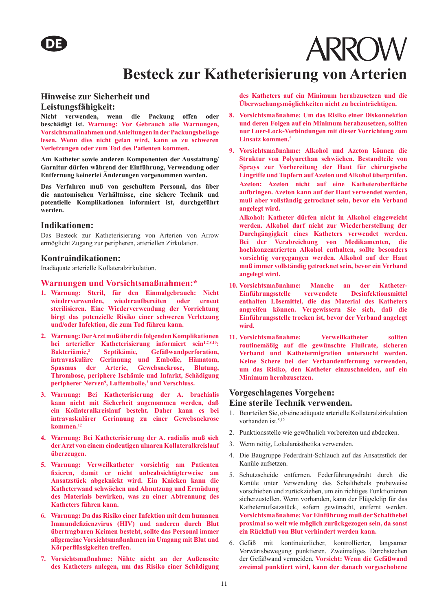### **Besteck zur Katheterisierung von Arterien**

#### **Hinweise zur Sicherheit und Leistungsfähigkeit:**

**Nicht verwenden, wenn die Packung offen oder beschädigt ist. Warnung: Vor Gebrauch alle Warnungen, Vorsichtsmaßnahmen und Anleitungen in der Packungsbeilage lesen. Wenn dies nicht getan wird, kann es zu schweren Verletzungen oder zum Tod des Patienten kommen.**

**Am Katheter sowie anderen Komponenten der Ausstattung/ Garnitur dürfen während der Einführung, Verwendung oder Entfernung keinerlei Änderungen vorgenommen werden.** 

**Das Verfahren muß von geschultem Personal, das über die anatomischen Verhältnisse, eine sichere Technik und potentielle Komplikationen informiert ist, durchgeführt werden.** 

#### **Indikationen:**

Das Besteck zur Katheterisierung von Arterien von Arrow ermöglicht Zugang zur peripheren, arteriellen Zirkulation.

#### **Kontraindikationen:**

Inadäquate arterielle Kollateralzirkulation.

#### **Warnungen und Vorsichtsmaßnahmen:\***

- **1. Warnung: Steril, für den Einmalgebrauch: Nicht wiederverwenden, wiederaufbereiten oder erneut sterilisieren. Eine Wiederverwendung der Vorrichtung birgt das potenzielle Risiko einer schweren Verletzung und/oder Infektion, die zum Tod führen kann.**
- **2. Warnung: Der Arzt muß über die folgenden Komplikationen**  bei arterieller Katheterisierung informiert sein<sup>1,7,8,10</sup>: **Bakteriämie,2 Septikämie, Gefäßwandperforation, intravaskuläre Gerinnung und Embolie, Hämatom, Spasmus der Arterie, Gewebsnekrose, Blutung, Thrombose, periphere Ischämie und Infarkt, Schädigung peripherer Nerven9, Luftembolie,3 und Verschluss.**
- **3. Warnung: Bei Katheterisierung der A. brachialis kann nicht mit Sicherheit angenommen werden, daß ein Kollateralkreislauf besteht. Daher kann es bei intravaskulärer Gerinnung zu einer Gewebsnekrose kommen.<sup>12</sup>**
- **4. Warnung: Bei Katheterisierung der A. radialis muß sich der Arzt von einem eindeutigen ulnaren Kollateralkreislauf überzeugen.**
- **5. Warnung: Verweilkatheter vorsichtig am Patienten fixieren, damit er nicht unbeabsichtigterweise am Ansatzstück abgeknickt wird. Ein Knicken kann die Katheterwand schwächen und Abnutzung und Ermüdung des Materials bewirken, was zu einer Abtrennung des Katheters führen kann.**
- **6. Warnung: Da das Risiko einer Infektion mit dem humanen Immundefizienzvirus (HIV) und anderen durch Blut übertragbaren Keimen besteht, sollte das Personal immer allgemeine Vorsichtsmaßnahmen im Umgang mit Blut und Körperflüssigkeiten treffen.**
- **7. Vorsichtsmaßnahme: Nähte nicht an der Außenseite des Katheters anlegen, um das Risiko einer Schädigung**

**des Katheters auf ein Minimum herabzusetzen und die Überwachungsmöglichkeiten nicht zu beeinträchtigen.**

- **8. Vorsichtsmaßnahme: Um das Risiko einer Diskonnektion und deren Folgen auf ein Minimum herabzusetzen, sollten nur Luer-Lock-Verbindungen mit dieser Vorrichtung zum Einsatz kommen.<sup>5</sup>**
- **9. Vorsichtsmaßnahme: Alkohol und Azeton können die Struktur von Polyurethan schwächen. Bestandteile von Sprays zur Vorbereitung der Haut für chirurgische Eingriffe und Tupfern auf Azeton und Alkohol überprüfen. Azeton: Azeton nicht auf eine Katheteroberfläche aufbringen. Azeton kann auf der Haut verwendet werden, muß aber vollständig getrocknet sein, bevor ein Verband angelegt wird.**

**Alkohol: Katheter dürfen nicht in Alkohol eingeweicht werden. Alkohol darf nicht zur Wiederherstellung der Durchgängigkeit eines Katheters verwendet werden. Bei der Verabreichung von Medikamenten, die hochkonzentrierten Alkohol enthalten, sollte besonders vorsichtig vorgegangen werden. Alkohol auf der Haut muß immer vollständig getrocknet sein, bevor ein Verband angelegt wird.**

- **10. Vorsichtsmaßnahme: Manche an der Katheter-Einführungsstelle verwendete Desinfektionsmittel enthalten Lösemittel, die das Material des Katheters angreifen können. Vergewissern Sie sich, daß die Einführungsstelle trocken ist, bevor der Verband angelegt wird.**
- **11. Vorsichtsmaßnahme: Verweilkatheter sollten routinemäßig auf die gewünschte Flußrate, sicheren Verband und Kathetermigration untersucht werden. Keine Schere bei der Verbandentfernung verwenden, um das Risiko, den Katheter einzuschneiden, auf ein Minimum herabzusetzen.**

#### **Vorgeschlagenes Vorgehen:**

#### **Eine sterile Technik verwenden.**

- 1. Beurteilen Sie, ob eine adäquate arterielle Kollateralzirkulation vorhanden ist.<sup>5,12</sup>
- 2. Punktionsstelle wie gewöhnlich vorbereiten und abdecken.
- 3. Wenn nötig, Lokalanästhetika verwenden.
- 4. Die Baugruppe Federdraht-Schlauch auf das Ansatzstück der Kanüle aufsetzen.
- 5. Schutzscheide entfernen. Federführungsdraht durch die Kanüle unter Verwendung des Schalthebels probeweise vorschieben und zurückziehen, um ein richtiges Funktionieren sicherzustellen. Wenn vorhanden, kann der Flügelclip für das Katheteraufsatzstück, sofern gewünscht, entfernt werden. **Vorsichtsmaßnahme: Vor Einführung muß der Schalthebel proximal so weit wie möglich zurückgezogen sein, da sonst ein Rückfluß von Blut verhindert werden kann.**
- 6. Gefäß mit kontinuierlicher, kontrollierter, langsamer Vorwärtsbewegung punktieren. Zweimaliges Durchstechen der Gefäßwand vermeiden. **Vorsicht: Wenn die Gefäßwand zweimal punktiert wird, kann der danach vorgeschobene**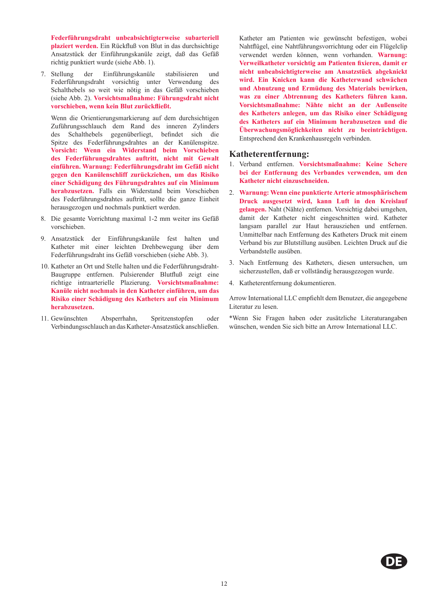**Federführungsdraht unbeabsichtigterweise subarteriell plaziert werden.** Ein Rückfluß von Blut in das durchsichtige Ansatzstück der Einführungskanüle zeigt, daß das Gefäß richtig punktiert wurde (siehe Abb. 1).

7. Stellung der Einführungskanüle stabilisieren und Federführungsdraht vorsichtig unter Verwendung des Schalthebels so weit wie nötig in das Gefäß vorschieben (siehe Abb. 2). **Vorsichtsmaßnahme: Führungsdraht nicht vorschieben, wenn kein Blut zurückfließt.** 

Wenn die Orientierungsmarkierung auf dem durchsichtigen Zuführungsschlauch dem Rand des inneren Zylinders des Schalthebels gegenüberliegt, befindet sich die Spitze des Federführungsdrahtes an der Kanülenspitze. **Vorsicht: Wenn ein Widerstand beim Vorschieben des Federführungsdrahtes auftritt, nicht mit Gewalt einführen. Warnung: Federführungsdraht im Gefäß nicht gegen den Kanülenschliff zurückziehen, um das Risiko einer Schädigung des Führungsdrahtes auf ein Minimum herabzusetzen.** Falls ein Widerstand beim Vorschieben des Federführungsdrahtes auftritt, sollte die ganze Einheit herausgezogen und nochmals punktiert werden.

- 8. Die gesamte Vorrichtung maximal 1-2 mm weiter ins Gefäß vorschieben.
- 9. Ansatzstück der Einführungskanüle fest halten und Katheter mit einer leichten Drehbewegung über dem Federführungsdraht ins Gefäß vorschieben (siehe Abb. 3).
- 10. Katheter an Ort und Stelle halten und die Federführungsdraht-Baugruppe entfernen. Pulsierender Blutfluß zeigt eine richtige intraarterielle Plazierung. **Vorsichtsmaßnahme: Kanüle nicht nochmals in den Katheter einführen, um das Risiko einer Schädigung des Katheters auf ein Minimum herabzusetzen.**
- 11. Gewünschten Absperrhahn, Spritzenstopfen oder Verbindungsschlauch an das Katheter-Ansatzstück anschließen.

Katheter am Patienten wie gewünscht befestigen, wobei Nahtflügel, eine Nahtführungsvorrichtung oder ein Flügelclip verwendet werden können, wenn vorhanden. **Warnung: Verweilkatheter vorsichtig am Patienten fixieren, damit er nicht unbeabsichtigterweise am Ansatzstück abgeknickt wird. Ein Knicken kann die Katheterwand schwächen und Abnutzung und Ermüdung des Materials bewirken, was zu einer Abtrennung des Katheters führen kann. Vorsichtsmaßnahme: Nähte nicht an der Außenseite des Katheters anlegen, um das Risiko einer Schädigung des Katheters auf ein Minimum herabzusetzen und die Überwachungsmöglichkeiten nicht zu beeinträchtigen.**  Entsprechend den Krankenhausregeln verbinden.

#### **Katheterentfernung:**

- 1. Verband entfernen. **Vorsichtsmaßnahme: Keine Schere bei der Entfernung des Verbandes verwenden, um den Katheter nicht einzuschneiden.**
- 2. **Warnung: Wenn eine punktierte Arterie atmosphärischem Druck ausgesetzt wird, kann Luft in den Kreislauf gelangen.** Naht (Nähte) entfernen. Vorsichtig dabei umgehen, damit der Katheter nicht eingeschnitten wird. Katheter langsam parallel zur Haut herausziehen und entfernen. Unmittelbar nach Entfernung des Katheters Druck mit einem Verband bis zur Blutstillung ausüben. Leichten Druck auf die Verbandstelle ausüben.
- 3. Nach Entfernung des Katheters, diesen untersuchen, um sicherzustellen, daß er vollständig herausgezogen wurde.
- 4. Katheterentfernung dokumentieren.

Arrow International LLC empfiehlt dem Benutzer, die angegebene Literatur zu lesen.

\*Wenn Sie Fragen haben oder zusätzliche Literaturangaben wünschen, wenden Sie sich bitte an Arrow International LLC.

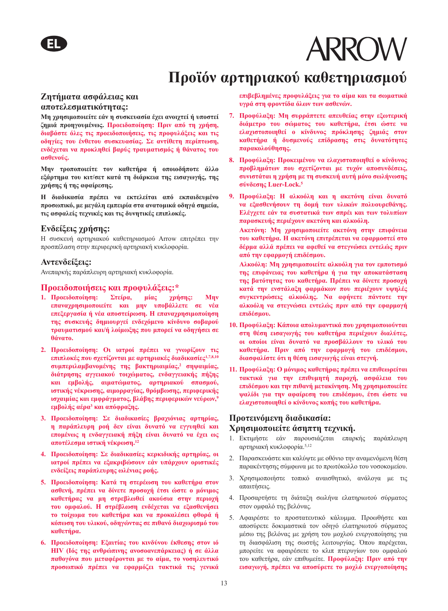### **Προϊόν αρτηριακού καθετηριασμού**

#### **Ζητήματα ασφάλειας και αποτελεσματικότητας:**

**Μη χρησιμοποιείτε εάν η συσκευασία έχει ανοιχτεί ή υποστεί ζημιά προηγουμένως. Προειδοποίηση: Πριν από τη χρήση, διαβάστε όλες τις προειδοποιήσεις, τις προφυλάξεις και τις οδηγίες του ένθετου συσκευασίας. Σε αντίθετη περίπτωση, ενδέχεται να προκληθεί βαρύς τραυματισμός ή θάνατος του ασθενούς.** 

**Μην τροποποιείτε τον καθετήρα ή οποιοδήποτε άλλο εξάρτημα του κιτ/σετ κατά τη διάρκεια της εισαγωγής, της χρήσης ή της αφαίρεσης.** 

**Η διαδικασία πρέπει να εκτελείται από εκπαιδευμένο προσωπικό, με μεγάλη εμπειρία στα ανατομικά οδηγά σημεία, τις ασφαλείς τεχνικές και τις δυνητικές επιπλοκές.** 

#### **Ενδείξεις χρήσης:**

Η συσκευή αρτηριακού καθετηριασμού Arrow επιτρέπει την προσπέλαση στην περιφερική αρτηριακή κυκλοφορία.

#### **Αντενδείξεις:**

Ανεπαρκής παράπλευρη αρτηριακή κυκλοφορία.

#### **Προειδοποιήσεις και προφυλάξεις:\***

- **1. Προειδοποίηση: Στείρα, μίας χρήσης: Μην επαναχρησιμοποιείτε και μην υποβάλλετε σε νέα επεξεργασία ή νέα αποστείρωση. Η επαναχρησιμοποίηση της συσκευής δημιουργεί ενδεχόμενο κίνδυνο σοβαρού τραυματισμού και/ή λοίμωξης που μπορεί να οδηγήσει σε θάνατο.**
- **2. Προειδοποίηση: Οι ιατροί πρέπει να γνωρίζουν τις επιπλοκές που σχετίζονται με αρτηριακές διαδικασίες1,7,8,10 συμπεριλαμβανομένης της βακτηριαιμίας,2 σηψαιμίας, διάτρησης αγγειακού τοιχώματος, ενδαγγειακής πήξης και εμβολής, αιματώματος, αρτηριακού σπασμού, ιστικής νέκρωσης, αιμορραγίας, θρόμβωσης, περιφερικής ισχαιμίας και εμφράγματος, βλάβης περιφερικών νεύρων,<sup>9</sup> εμβολής αέρα<sup>3</sup> και απόφραξης.**
- **3. Προειδοποίηση: Σε διαδικασίες βραχιόνιας αρτηρίας, η παράπλευρη ροή δεν είναι δυνατό να εγγυηθεί και επομένως η ενδαγγειακή πήξη είναι δυνατό να έχει ως αποτέλεσμα ιστική νέκρωση.<sup>12</sup>**
- **4. Προειδοποίηση: Σε διαδικασίες κερκιδικής αρτηρίας, οι ιατροί πρέπει να εξακριβώσουν εάν υπάρχουν οριστικές ενδείξεις παράπλευρης ωλένιας ροής.**
- **5. Προειδοποίηση: Κατά τη στερέωση του καθετήρα στον ασθενή, πρέπει να δίνετε προσοχή έτσι ώστε ο μόνιμος καθετήρας να μη στρεβλωθεί ακούσια στην περιοχή του ομφαλού. Η στρέβλωση ενδέχεται να εξασθενήσει το τοίχωμα του καθετήρα και να προκαλέσει φθορά ή κόπωση του υλικού, οδηγώντας σε πιθανό διαχωρισμό του καθετήρα.**
- **6. Προειδοποίηση: Εξαιτίας του κινδύνου έκθεσης στον ιό HIV (Ιός της ανθρώπινης ανοσοανεπάρκειας) ή σε άλλα παθογόνα που μεταφέρονται με το αίμα, το νοσηλευτικό προσωπικό πρέπει να εφαρμόζει τακτικά τις γενικά**

**επιβεβλημένες προφυλάξεις για το αίμα και τα σωματικά υγρά στη φροντίδα όλων των ασθενών.** 

- **7. Προφύλαξη: Μη συρράπτετε απευθείας στην εξωτερική διάμετρο του σώματος του καθετήρα, έτσι ώστε να ελαχιστοποιηθεί ο κίνδυνος πρόκλησης ζημιάς στον καθετήρα ή δυσμενούς επίδρασης στις δυνατότητες παρακολούθησης.**
- **8. Προφύλαξη: Προκειμένου να ελαχιστοποιηθεί ο κίνδυνος προβλημάτων που σχετίζονται με τυχόν αποσυνδέσεις, συνιστάται η χρήση με τη συσκευή αυτή μόνο σωλήνωσης σύνδεσης Luer-Lock.<sup>5</sup>**
- **9. Προφύλαξη: Η αλκοόλη και η ακετόνη είναι δυνατό να εξασθενήσουν τη δομή των υλικών πολυουρεθάνης. Ελέγχετε εάν τα συστατικά των σπρέι και των τολυπίων παρασκευής περιέχουν ακετόνη και αλκοόλη.**

**Ακετόνη: Μη χρησιμοποιείτε ακετόνη στην επιφάνεια του καθετήρα. Η ακετόνη επιτρέπεται να εφαρμοστεί στο δέρμα αλλά πρέπει να αφεθεί να στεγνώσει εντελώς πριν από την εφαρμογή επιδέσμου.** 

**Αλκοόλη: Μη χρησιμοποιείτε αλκοόλη για τον εμποτισμό της επιφάνειας του καθετήρα ή για την αποκατάσταση της βατότητας του καθετήρα. Πρέπει να δίνετε προσοχή κατά την ενστάλαξη φαρμάκων που περιέχουν υψηλές συγκεντρώσεις αλκοόλης. Να αφήνετε πάντοτε την αλκοόλη να στεγνώσει εντελώς πριν από την εφαρμογή επιδέσμου.** 

- **10. Προφύλαξη: Κάποια απολυμαντικά που χρησιμοποιούνται στη θέση εισαγωγής του καθετήρα περιέχουν διαλύτες, οι οποίοι είναι δυνατό να προσβάλλουν το υλικό του καθετήρα. Πριν από την εφαρμογή του επιδέσμου, διασφαλίστε ότι η θέση εισαγωγής είναι στεγνή.**
- **11. Προφύλαξη: Ο μόνιμος καθετήρας πρέπει να επιθεωρείται τακτικά για την επιθυμητή παροχή, ασφάλεια του επιδέσμου και την πιθανή μετακίνηση. Μη χρησιμοποιείτε ψαλίδι για την αφαίρεση του επιδέσμου, έτσι ώστε να ελαχιστοποιηθεί ο κίνδυνος κοπής του καθετήρα.**

#### **Προτεινόμενη διαδικασία: Χρησιμοποιείτε άσηπτη τεχνική.**

- 1. Εκτιμήστε εάν παρουσιάζεται επαρκής παράπλευρη αρτηριακή κυκλοφορία.5,12
- 2. Παρασκευάστε και καλύψτε με οθόνιο την αναμενόμενη θέση παρακέντησης σύμφωνα με το πρωτόκολλο του νοσοκομείου.
- 3. Χρησιμοποιήστε τοπικό αναισθητικό, ανάλογα με τις απαιτήσεις.
- 4. Προσαρτήστε τη διάταξη σωλήνα ελατηριωτού σύρματος στον ομφαλό της βελόνας.
- 5. Αφαιρέστε το προστατευτικό κάλυμμα. Προωθήστε και αποσύρετε δοκιμαστικά τον οδηγό ελατηριωτού σύρματος μέσω της βελόνας με χρήση του μοχλού ενεργοποίησης για τη διασφάλιση της σωστής λειτουργίας. Όπου παρέχεται, μπορείτε να αφαιρέσετε το κλιπ πτερυγίων του ομφαλού του καθετήρα, εάν επιθυμείτε. **Προφύλαξη: Πριν από την εισαγωγή, πρέπει να αποσύρετε το μοχλό ενεργοποίησης**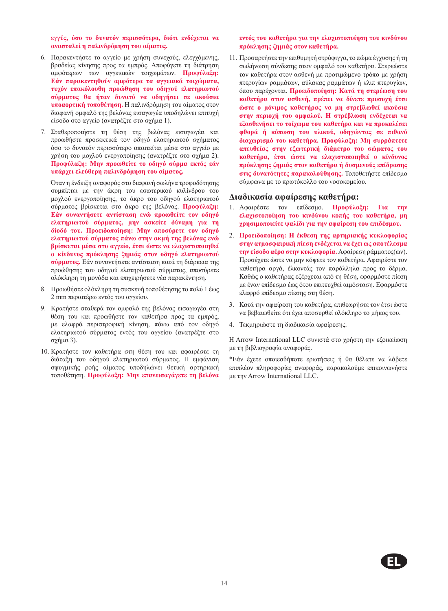**εγγύς, όσο το δυνατόν περισσότερο, διότι ενδέχεται να ανασταλεί η παλινδρόμηση του αίματος.** 

- 6. Παρακεντήστε το αγγείο με χρήση συνεχούς, ελεγχόμενης, βραδείας κίνησης προς τα εμπρός. Αποφύγετε τη διάτρηση αμφότερων των αγγειακών τοιχωμάτων. **Προφύλαξη: Εάν παρακεντηθούν αμφότερα τα αγγειακά τοιχώματα, τυχόν επακόλουθη προώθηση του οδηγού ελατηριωτού σύρματος θα ήταν δυνατό να οδηγήσει σε ακούσια υποαορτική τοποθέτηση.** Η παλινδρόμηση του αίματος στον διαφανή ομφαλό της βελόνας εισαγωγέα υποδηλώνει επιτυχή είσοδο στο αγγείο (ανατρέξτε στο σχήμα 1).
- 7. Σταθεροποιήστε τη θέση της βελόνας εισαγωγέα και προωθήστε προσεκτικά τον οδηγό ελατηριωτού σχήματος όσο το δυνατόν περισσότερο απαιτείται μέσα στο αγγείο με χρήση του μοχλού ενεργοποίησης (ανατρέξτε στο σχήμα 2). **Προφύλαξη: Μην προωθείτε το οδηγό σύρμα εκτός εάν υπάρχει ελεύθερη παλινδρόμηση του αίματος.**

Όταν η ένδειξη αναφοράς στο διαφανή σωλήνα τροφοδότησης συμπίπτει με την άκρη του εσωτερικού κυλίνδρου του μοχλού ενεργοποίησης, το άκρο του οδηγού ελατηριωτού σύρματος βρίσκεται στο άκρο της βελόνας. **Προφύλαξη: Εάν συναντήσετε αντίσταση ενώ προωθείτε τον οδηγό ελατηριωτού σύρματος, μην ασκείτε δύναμη για τη δίοδό του. Προειδοποίηση: Μην αποσύρετε τον οδηγό ελατηριωτού σύρματος πάνω στην ακμή της βελόνας ενώ βρίσκεται μέσα στο αγγείο, έτσι ώστε να ελαχιστοποιηθεί ο κίνδυνος πρόκλησης ζημιάς στον οδηγό ελατηριωτού σύρματος.** Εάν συναντήσετε αντίσταση κατά τη διάρκεια της προώθησης του οδηγού ελατηριωτού σύρματος, αποσύρετε ολόκληρη τη μονάδα και επιχειρήσετε νέα παρακέντηση.

- 8. Προωθήστε ολόκληρη τη συσκευή τοποθέτησης το πολύ 1 έως 2 mm περαιτέρω εντός του αγγείου.
- 9. Κρατήστε σταθερά τον ομφαλό της βελόνας εισαγωγέα στη θέση του και προωθήστε τον καθετήρα προς τα εμπρός, με ελαφρά περιστροφική κίνηση, πάνω από τον οδηγό ελατηριωτού σύρματος εντός του αγγείου (ανατρέξτε στο σχήμα 3).
- 10. Κρατήστε τον καθετήρα στη θέση του και αφαιρέστε τη διάταξη του οδηγού ελατηριωτού σύρματος. Η εμφάνιση σφυγμικής ροής αίματος υποδηλώνει θετική αρτηριακή τοποθέτηση. **Προφύλαξη: Μην επανεισαγάγετε τη βελόνα**

**εντός του καθετήρα για την ελαχιστοποίηση του κινδύνου πρόκλησης ζημιάς στον καθετήρα.** 

11. Προσαρτήστε την επιθυμητή στρόφιγγα, το πώμα έγχυσης ή τη σωλήνωση σύνδεσης στον ομφαλό του καθετήρα. Στερεώστε τον καθετήρα στον ασθενή με προτιμώμενο τρόπο με χρήση πτερυγίων ραμμάτων, αύλακας ραμμάτων ή κλιπ πτερυγίων, όπου παρέχονται. **Προειδοποίηση: Κατά τη στερέωση του καθετήρα στον ασθενή, πρέπει να δίνετε προσοχή έτσι ώστε ο μόνιμος καθετήρας να μη στρεβλωθεί ακούσια στην περιοχή του ομφαλού. Η στρέβλωση ενδέχεται να εξασθενήσει το τοίχωμα του καθετήρα και να προκαλέσει φθορά ή κόπωση του υλικού, οδηγώντας σε πιθανό διαχωρισμό του καθετήρα. Προφύλαξη: Μη συρράπτετε απευθείας στην εξωτερική διάμετρο του σώματος του καθετήρα, έτσι ώστε να ελαχιστοποιηθεί ο κίνδυνος πρόκλησης ζημιάς στον καθετήρα ή δυσμενούς επίδρασης στις δυνατότητες παρακολούθησης.** Τοποθετήστε επίδεσμο σύμφωνα με το πρωτόκολλο του νοσοκομείου.

#### **Διαδικασία αφαίρεσης καθετήρα:**

- 1. Αφαιρέστε τον επίδεσμο. **Προφύλαξη: Για την ελαχιστοποίηση του κινδύνου κοπής του καθετήρα, μη χρησιμοποιείτε ψαλίδι για την αφαίρεση του επιδέσμου.**
- 2. **Προειδοποίηση: Η έκθεση της αρτηριακής κυκλοφορίας στην ατμοσφαιρική πίεση ενδέχεται να έχει ως αποτέλεσμα την είσοδο αέρα στην κυκλοφορία.** Αφαίρεση ράμματος(ων). Προσέχετε ώστε να μην κόψετε τον καθετήρα. Αφαιρέστε τον καθετήρα αργά, έλκοντάς τον παράλληλα προς το δέρμα. Καθώς ο καθετήρας εξέρχεται από τη θέση, εφαρμόστε πίεση με έναν επίδεσμο έως ότου επιτευχθεί αιμόσταση. Εφαρμόστε ελαφρό επίδεσμο πίεσης στη θέση.
- 3. Κατά την αφαίρεση του καθετήρα, επιθεωρήστε τον έτσι ώστε να βεβαιωθείτε ότι έχει αποσυρθεί ολόκληρο το μήκος του.
- 4. Τεκμηριώστε τη διαδικασία αφαίρεσης.

Η Arrow International LLC συνιστά στο χρήστη την εξοικείωση με τη βιβλιογραφία αναφοράς.

\*Εάν έχετε οποιεσδήποτε ερωτήσεις ή θα θέλατε να λάβετε επιπλέον πληροφορίες αναφοράς, παρακαλούμε επικοινωνήστε με την Arrow International LLC.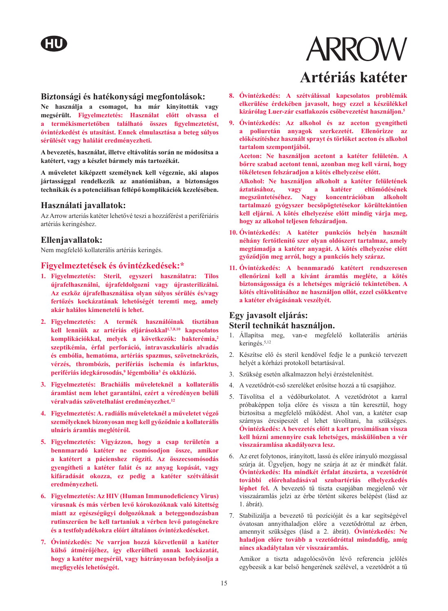#### **Biztonsági és hatékonysági megfontolások:**

**Ne használja a csomagot, ha már kinyitották vagy megsérült. Figyelmeztetés: Használat előtt olvassa el a termékismertetőben található összes figyelmeztetést, óvintézkedést és utasítást. Ennek elmulasztása a beteg súlyos sérülését vagy halálát eredményezheti.** 

**A bevezetés, használat, illetve eltávolítás során ne módosítsa a katétert, vagy a készlet bármely más tartozékát.** 

**A műveletet kiképzett személynek kell végeznie, aki alapos jártassággal rendelkezik az anatómiában, a biztonságos technikák és a potenciálisan fellépő komplikációk kezelésében.** 

#### **Használati javallatok:**

Az Arrow arteriás katéter lehetővé teszi a hozzáférést a perifériáris artériás keringéshez.

#### **Ellenjavallatok:**

Nem megfelelő kollaterális artériás keringés.

#### **Figyelmeztetések és óvintézkedések:\***

- **1. Figyelmeztetés: Steril, egyszeri használatra: Tilos újrafelhasználni, újrafeldolgozni vagy újrasterilizálni. Az eszköz újrafelhasználása olyan súlyos sérülés és/vagy fertőzés kockázatának lehetőségét teremti meg, amely akár halálos kimenetelű is lehet.**
- **2. Figyelmeztetés: A termék használóinak tisztában kell lenniük az artériás eljárásokkal1,7,8,10 kapcsolatos komplikációkkal, melyek a következők: bakterémia,<sup>2</sup> szeptikémia, érfal perforáció, intravaszkuláris alvadás és embólia, hematóma, artériás spazmus, szövetnekrózis, vérzés, thrombózis, perifériás ischemia és infarktus, perifériás idegkárosodás,9 légembólia3 és okklúzió.**
- **3. Figyelmeztetés: Brachiális műveleteknél a kollaterális áramlást nem lehet garantálni, ezért a véredényen belüli véralvadás szövetelhalást eredményezhet.<sup>12</sup>**
- **4. Figyelmeztetés: A. radiális műveleteknél a műveletet végző személyeknek bizonyosan meg kell győződnie a kollaterális ulnáris áramlás meglétéről.**
- **5. Figyelmeztetés: Vigyázzon, hogy a csap területén a bennmaradó katéter ne csomósodjon össze, amikor a katétert a pácienshez rögzíti. Az összecsomósodás gyengítheti a katéter falát és az anyag kopását, vagy kifáradását okozza, ez pedig a katéter szétválását eredményezheti.**
- **6. Figyelmeztetés: Az HIV (Human Immunodeficiency Virus) vírusnak és más vérben levő kórokozóknak való kitettség miatt az egészségügyi dolgozóknak a beteggondozásban rutinszerűen be kell tartaniuk a vérben levő patogénekre és a testfolyadékokra előírt általános óvintézkedéseket.**
- **7. Óvintézkedés: Ne varrjon hozzá közvetlenül a katéter külső átmérőjéhez, így elkerülheti annak kockázatát, hogy a katéter megsérül, vagy hátrányosan befolyásolja a megfigyelés lehetőségét.**

# **ARROW Artériás katéter**

- **8. Óvintézkedés: A szétválással kapcsolatos problémák elkerülése érdekében javasolt, hogy ezzel a készülékkel kizárólag Luer-zár csatlakozós csőbevezetést használjon.<sup>5</sup>**
- **9. Óvintézkedés: Az alkohol és az aceton gyengítheti a poliuretán anyagok szerkezetét. Ellenőrizze az előkészítéshez használt sprayt és törlőket aceton és alkohol tartalom szempontjából.**

**Aceton: Ne használjon acetont a katéter felületén. A bőrre szabad acetont tenni, azonban meg kell várni, hogy tökéletesen felszáradjon a kötés elhelyezése előtt.** 

**Alkohol: Ne használjon alkoholt a katéter felületének áztatásához, vagy a katéter eltömődésének megszüntetéséhez. Nagy koncentrációban alkoholt tartalmazó gyógyszer becsöpögtetésekor körültekintően kell eljárni. A kötés elhelyezése előtt mindig várja meg, hogy az alkohol teljesen felszáradjon.** 

- **10. Óvintézkedés: A katéter punkciós helyén használt néhány fertőtlenítő szer olyan oldószert tartalmaz, amely megtámadja a katéter anyagát. A kötés elhelyezése előtt győződjön meg arról, hogy a punkciós hely száraz.**
- **11. Óvintézkedés: A bennmaradó katétert rendszeresen ellenőrizni kell a kívánt áramlás megléte, a kötés biztonságossága és a lehetséges migráció tekintetében. A kötés eltávolításához ne használjon ollót, ezzel csökkentve a katéter elvágásának veszélyét.**

#### **Egy javasolt eljárás: Steril technikát használjon.**

- 1. Állapítsa meg, van-e megfelelő kollaterális artériás keringés.5,12
- 2. Készítse elő és steril kendővel fedje le a punkció tervezett helyét a kórházi protokoll betartásával.
- 3. Szükség esetén alkalmazzon helyi érzéstelenítést.
- 4. A vezetődrót-cső szereléket erősítse hozzá a tű csapjához.
- 5. Távolítsa el a védőburkolatot. A vezetődrótot a karral próbaképpen tolja előre és vissza a tűn keresztül, hogy biztosítsa a megfelelő működést. Ahol van, a katéter csap szárnyas ércsipeszét el lehet távolítani, ha szükséges. **Óvintézkedés: A bevezetés előtt a kart proximálisan vissza kell húzni amennyire csak lehetséges, máskülönben a vér visszaáramlása akadályozva lesz.**
- 6. Az eret folytonos, irányított, lassú és előre irányuló mozgással szúrja át. Ügyeljen, hogy ne szúrja át az ér mindkét falát. **Óvintézkedés: Ha mindkét érfalat átszúrta, a vezetődrót további előrehaladásával szubartériás elhelyezkedés léphet fel.** A bevezető tű tiszta csapjában megjelenő vér visszaáramlás jelzi az érbe történt sikeres belépést (lásd az 1. ábrát).
- 7. Stabilizálja a bevezető tű pozícióját és a kar segítségével óvatosan annyithaladjon előre a vezetődróttal az érben, amennyit szükséges (lásd a 2. ábrát). **Óvintézkedés: Ne haladjon előre tovább a vezetődróttal mindaddig, amíg nincs akadálytalan vér visszaáramlás.**

Amikor a tiszta adagolócsövön lévő referencia jelölés egybeesik a kar belső hengerének szélével, a vezetődrót a tű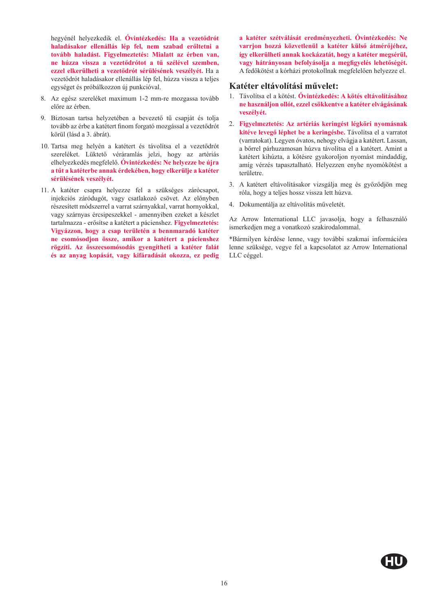hegyénél helyezkedik el. **Óvintézkedés: Ha a vezetődrót haladásakor ellenállás lép fel, nem szabad erőltetni a tovább haladást. Figyelmeztetés: Mialatt az érben van, ne húzza vissza a vezetődrótot a tű szélével szemben, ezzel elkerülheti a vezetődrót sérülésének veszélyét.** Ha a vezetődrót haladásakor ellenállás lép fel, húzza vissza a teljes egységet és próbálkozzon új punkcióval.

- 8. Az egész szereléket maximum 1-2 mm-re mozgassa tovább előre az érben.
- 9. Biztosan tartsa helyzetében a bevezető tű csapját és tolja tovább az érbe a katétert finom forgató mozgással a vezetődrót körül (lásd a 3. ábrát).
- 10. Tartsa meg helyén a katétert és távolítsa el a vezetődrót szereléket. Lüktető véráramlás jelzi, hogy az artériás elhelyezkedés megfelelő. **Óvintézkedés: Ne helyezze be újra a tűt a katéterbe annak érdekében, hogy elkerülje a katéter sérülésének veszélyét.**
- 11. A katéter csapra helyezze fel a szükséges zárócsapot, injekciós záródugót, vagy csatlakozó csövet. Az előnyben részesített módszerrel a varrat szárnyakkal, varrat hornyokkal, vagy szárnyas ércsipeszekkel - amennyiben ezeket a készlet tartalmazza - erősítse a katétert a pácienshez. **Figyelmeztetés: Vigyázzon, hogy a csap területén a bennmaradó katéter ne csomósodjon össze, amikor a katétert a pácienshez rögzíti. Az összecsomósodás gyengítheti a katéter falát és az anyag kopását, vagy kifáradását okozza, ez pedig**

**a katéter szétválását eredményezheti. Óvintézkedés: Ne varrjon hozzá közvetlenül a katéter külső átmérőjéhez, így elkerülheti annak kockázatát, hogy a katéter megsérül, vagy hátrányosan befolyásolja a megfigyelés lehetőségét.** A fedőkötést a kórházi protokollnak megfelelően helyezze el.

#### **Katéter eltávolítási művelet:**

- 1. Távolítsa el a kötést. **Óvintézkedés: A kötés eltávolításához ne használjon ollót, ezzel csökkentve a katéter elvágásának veszélyét.**
- 2. **Figyelmeztetés: Az artériás keringést légköri nyomásnak kitéve levegő léphet be a keringésbe.** Távolítsa el a varratot (varratokat). Legyen óvatos, nehogy elvágja a katétert. Lassan, a bőrrel párhuzamosan húzva távolítsa el a katétert. Amint a katétert kihúzta, a kötésre gyakoroljon nyomást mindaddig, amíg vérzés tapasztalható. Helyezzen enyhe nyomókötést a területre.
- 3. A katétert eltávolításakor vizsgálja meg és győződjön meg róla, hogy a teljes hossz vissza lett húzva.
- 4. Dokumentálja az eltávolítás műveletét.

Az Arrow International LLC javasolja, hogy a felhasználó ismerkedjen meg a vonatkozó szakirodalommal.

\*Bármilyen kérdése lenne, vagy további szakmai információra lenne szüksége, vegye fel a kapcsolatot az Arrow International LLC céggel.

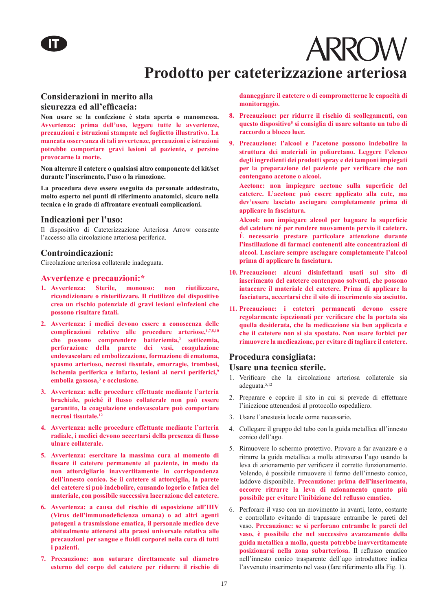# **ARROW Prodotto per cateterizzazione arteriosa**

#### **Considerazioni in merito alla sicurezza ed all'efficacia:**

**Non usare se la confezione è stata aperta o manomessa. Avvertenza: prima dell'uso, leggere tutte le avvertenze, precauzioni e istruzioni stampate nel foglietto illustrativo. La mancata osservanza di tali avvertenze, precauzioni e istruzioni potrebbe comportare gravi lesioni al paziente, e persino provocarne la morte.**

**Non alterare il catetere o qualsiasi altro componente del kit/set durante l'inserimento, l'uso o la rimozione.**

**La procedura deve essere eseguita da personale addestrato, molto esperto nei punti di riferimento anatomici, sicuro nella tecnica e in grado di affrontare eventuali complicazioni.**

#### **Indicazioni per l'uso:**

Il dispositivo di Cateterizzazione Arteriosa Arrow consente l'accesso alla circolazione arteriosa periferica.

#### **Controindicazioni:**

Circolazione arteriosa collaterale inadeguata.

#### **Avvertenze e precauzioni:\***

- **1. Avvertenza: Sterile, monouso: non riutilizzare, ricondizionare o risterilizzare. Il riutilizzo del dispositivo crea un rischio potenziale di gravi lesioni e/infezioni che possono risultare fatali.**
- **2. Avvertenza: i medici devono essere a conoscenza delle complicazioni relative alle procedure arteriose,1,7,8,10 che possono comprendere batteriemia,<sup>2</sup> setticemia, perforazione della parete dei vasi, coagulazione endovascolare ed embolizzazione, formazione di ematoma, spasmo arterioso, necrosi tissutale, emorragie, trombosi, ischemia periferica e infarto, lesioni ai nervi periferici,<sup>9</sup> embolia gassosa,<sup>3</sup> e occlusione.**
- **3. Avvertenza: nelle procedure effettuate mediante l'arteria brachiale, poiché il flusso collaterale non può essere garantito, la coagulazione endovascolare può comportare necrosi tissutale.<sup>12</sup>**
- **4. Avvertenza: nelle procedure effettuate mediante l'arteria radiale, i medici devono accertarsi della presenza di flusso ulnare collaterale.**
- **5. Avvertenza: esercitare la massima cura al momento di fissare il catetere permanente al paziente, in modo da non attorcigliarlo inavvertitamente in corrispondenza dell'innesto conico. Se il catetere si attorciglia, la parete del catetere si può indebolire, causando logorio e fatica del materiale, con possibile successiva lacerazione del catetere.**
- **6. Avvertenza: a causa del rischio di esposizione all'HIV (Virus dell'immunodeficienza umana) o ad altri agenti patogeni a trasmissione ematica, il personale medico deve abitualmente attenersi alla prassi universale relativa alle precauzioni per sangue e fluidi corporei nella cura di tutti i pazienti.**
- **7. Precauzione: non suturare direttamente sul diametro esterno del corpo del catetere per ridurre il rischio di**

**danneggiare il catetere o di comprometterne le capacità di monitoraggio.**

- **8. Precauzione: per ridurre il rischio di scollegamenti, con questo dispositivo<sup>5</sup> si consiglia di usare soltanto un tubo di raccordo a blocco luer.**
- **9. Precauzione: l'alcool e l'acetone possono indebolire la struttura dei materiali in poliuretano. Leggere l'elenco degli ingredienti dei prodotti spray e dei tamponi impiegati per la preparazione del paziente per verificare che non contengano acetone o alcool.**

**Acetone: non impiegare acetone sulla superficie del catetere. L'acetone può essere applicato alla cute, ma dev'essere lasciato asciugare completamente prima di applicare la fasciatura.**

**Alcool: non impiegare alcool per bagnare la superficie del catetere né per rendere nuovamente pervio il catetere. È necessario prestare particolare attenzione durante l'instillazione di farmaci contenenti alte concentrazioni di alcool. Lasciare sempre asciugare completamente l'alcool prima di applicare la fasciatura.**

- **10. Precauzione: alcuni disinfettanti usati sul sito di inserimento del catetere contengono solventi, che possono intaccare il materiale del catetere. Prima di applicare la fasciatura, accertarsi che il sito di inserimento sia asciutto.**
- **11. Precauzione: i cateteri permanenti devono essere regolarmente ispezionati per verificare che la portata sia quella desiderata, che la medicazione sia ben applicata e che il catetere non si sia spostato. Non usare forbici per rimuovere la medicazione, per evitare di tagliare il catetere.**

#### **Procedura consigliata: Usare una tecnica sterile.**

- 1. Verificare che la circolazione arteriosa collaterale sia adeguata.5,12
- 2. Preparare e coprire il sito in cui si prevede di effettuare l'iniezione attenendosi al protocollo ospedaliero.
- 3. Usare l'anestesia locale come necessario.
- 4. Collegare il gruppo del tubo con la guida metallica all'innesto conico dell'ago.
- 5. Rimuovere lo schermo protettivo. Provare a far avanzare e a ritrarre la guida metallica a molla attraverso l'ago usando la leva di azionamento per verificare il corretto funzionamento. Volendo, è possibile rimuovere il fermo dell'innesto conico, laddove disponibile. **Precauzione: prima dell'inserimento, occorre ritrarre la leva di azionamento quanto più possibile per evitare l'inibizione del reflusso ematico.**
- 6. Perforare il vaso con un movimento in avanti, lento, costante e controllato evitando di trapassare entrambe le pareti del vaso. **Precauzione: se si perforano entrambe le pareti del vaso, è possibile che nel successivo avanzamento della guida metallica a molla, questa potrebbe inavvertitamente posizionarsi nella zona subarteriosa.** Il reflusso ematico nell'innesto conico trasparente dell'ago introduttore indica l'avvenuto inserimento nel vaso (fare riferimento alla Fig. 1).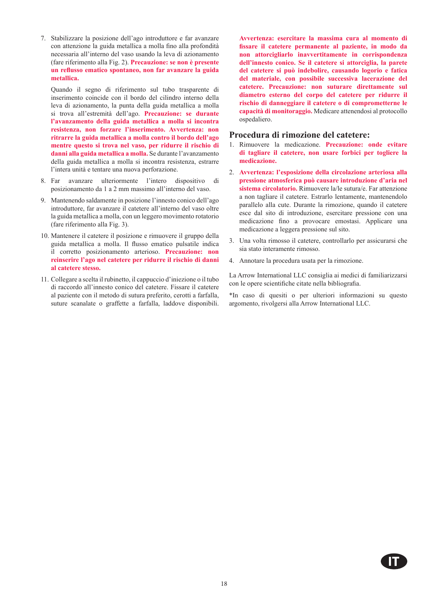7. Stabilizzare la posizione dell'ago introduttore e far avanzare con attenzione la guida metallica a molla fino alla profondità necessaria all'interno del vaso usando la leva di azionamento (fare riferimento alla Fig. 2). **Precauzione: se non è presente un reflusso ematico spontaneo, non far avanzare la guida metallica.** 

Quando il segno di riferimento sul tubo trasparente di inserimento coincide con il bordo del cilindro interno della leva di azionamento, la punta della guida metallica a molla si trova all'estremità dell'ago. **Precauzione: se durante l'avanzamento della guida metallica a molla si incontra**  resistenza, non forzare l'inserimento. Avvertenza: non **ritrarre la guida metallica a molla contro il bordo dell'ago mentre questo si trova nel vaso, per ridurre il rischio di danni alla guida metallica a molla.** Se durante l'avanzamento della guida metallica a molla si incontra resistenza, estrarre l'intera unità e tentare una nuova perforazione.

- 8. Far avanzare ulteriormente l'intero dispositivo di posizionamento da 1 a 2 mm massimo all'interno del vaso.
- 9. Mantenendo saldamente in posizione l'innesto conico dell'ago introduttore, far avanzare il catetere all'interno del vaso oltre la guida metallica a molla, con un leggero movimento rotatorio (fare riferimento alla Fig. 3).
- 10. Mantenere il catetere il posizione e rimuovere il gruppo della guida metallica a molla. Il flusso ematico pulsatile indica il corretto posizionamento arterioso. **Precauzione: non reinserire l'ago nel catetere per ridurre il rischio di danni al catetere stesso.**
- 11. Collegare a scelta il rubinetto, il cappuccio d'iniezione o il tubo di raccordo all'innesto conico del catetere. Fissare il catetere al paziente con il metodo di sutura preferito, cerotti a farfalla, suture scanalate o graffette a farfalla, laddove disponibili.

**Avvertenza: esercitare la massima cura al momento di fissare il catetere permanente al paziente, in modo da non attorcigliarlo inavvertitamente in corrispondenza dell'innesto conico. Se il catetere si attorciglia, la parete del catetere si può indebolire, causando logorio e fatica del materiale, con possibile successiva lacerazione del catetere. Precauzione: non suturare direttamente sul diametro esterno del corpo del catetere per ridurre il rischio di danneggiare il catetere o di comprometterne le capacità di monitoraggio.** Medicare attenendosi al protocollo ospedaliero.

#### **Procedura di rimozione del catetere:**

- 1. Rimuovere la medicazione. **Precauzione: onde evitare di tagliare il catetere, non usare forbici per togliere la medicazione.**
- 2. **Avvertenza: l'esposizione della circolazione arteriosa alla pressione atmosferica può causare introduzione d'aria nel sistema circolatorio.** Rimuovere la/le sutura/e. Far attenzione a non tagliare il catetere. Estrarlo lentamente, mantenendolo parallelo alla cute. Durante la rimozione, quando il catetere esce dal sito di introduzione, esercitare pressione con una medicazione fino a provocare emostasi. Applicare una medicazione a leggera pressione sul sito.
- 3. Una volta rimosso il catetere, controllarlo per assicurarsi che sia stato interamente rimosso.
- 4. Annotare la procedura usata per la rimozione.

La Arrow International LLC consiglia ai medici di familiarizzarsi con le opere scientifiche citate nella bibliografia.

\*In caso di quesiti o per ulteriori informazioni su questo argomento, rivolgersi alla Arrow International LLC.

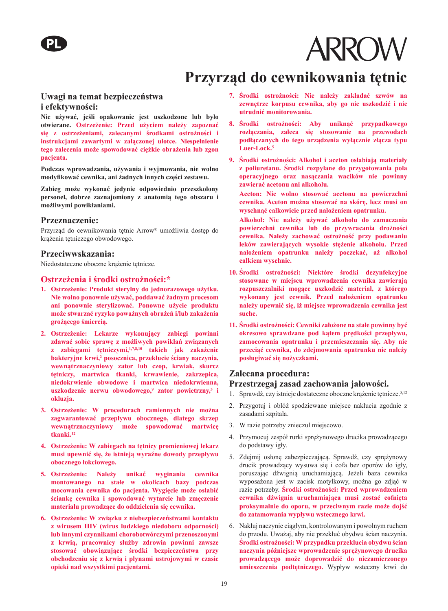### **Przyrząd do cewnikowania tętnic**

#### **Uwagi na temat bezpieczeństwa i efektywności:**

**Nie używać, jeśli opakowanie jest uszkodzone lub było otwierane. Ostrzeżenie: Przed użyciem należy zapoznać się z ostrzeżeniami, zalecanymi środkami ostrożności i instrukcjami zawartymi w załączonej ulotce. Niespełnienie tego zalecenia może spowodować ciężkie obrażenia lub zgon pacjenta.** 

**Podczas wprowadzania, używania i wyjmowania, nie wolno modyfikować cewnika, ani żadnych innych części zestawu.** 

**Zabieg może wykonać jedynie odpowiednio przeszkolony personel, dobrze zaznajomiony z anatomią tego obszaru i możliwymi powikłaniami.** 

#### **Przeznaczenie:**

Przyrząd do cewnikowania tetnic Arrow® umożliwia dostep do krążenia tętniczego obwodowego.

#### **Przeciwwskazania:**

Niedostateczne oboczne krążenie tętnicze.

#### **Ostrzeżenia i środki ostrożności:\***

- **1. Ostrzeżenie: Produkt sterylny do jednorazowego użytku. Nie wolno ponownie używać, poddawać żadnym procesom ani ponownie sterylizować. Ponowne użycie produktu może stwarzać ryzyko poważnych obrażeń i/lub zakażenia grożącego śmiercią.**
- **2. Ostrzeżenie: Lekarze wykonujący zabiegi powinni zdawać sobie sprawę z możliwych powikłań związanych z zabiegami tętniczymi,1,7,8,10 takich jak zakażenie bakteryjne krwi,2 posocznica, przekłucie ściany naczynia, wewnątrznaczyniowy zator lub czop, krwiak, skurcz tętniczy, martwica tkanki, krwawienie, zakrzepica, niedokrwienie obwodowe i martwica niedokrwienna, uszkodzenie nerwu obwodowego,9 zator powietrzny,<sup>3</sup> i okluzja.**
- **3. Ostrzeżenie: W procedurach ramiennych nie można zagwarantować przepływu obocznego, dlatego skrzep wewnątrznaczyniowy może spowodować martwicę tkanki.<sup>12</sup>**
- **4. Ostrzeżenie: W zabiegach na tętnicy promieniowej lekarz musi upewnić się, że istnieją wyraźne dowody przepływu obocznego łokciowego.**
- **5. Ostrzeżenie: Należy unikać wyginania cewnika montowanego na stałe w okolicach bazy podczas mocowania cewnika do pacjenta. Wygięcie może osłabić ściankę cewnika i spowodować wytarcie lub zmęczenie materiału prowadzące do oddzielenia się cewnika.**
- **6. Ostrzeżenie: W związku z niebezpieczeństwami kontaktu z wirusem HIV (wirus ludzkiego niedoboru odporności) lub innymi czynnikami chorobotwórczymi przenoszonymi z krwią, pracownicy służby zdrowia powinni zawsze stosować obowiązujące środki bezpieczeństwa przy obchodzeniu się z krwią i płynami ustrojowymi w czasie opieki nad wszystkimi pacjentami.**
- **7. Środki ostrożności: Nie należy zakładać szwów na zewnętrze korpusu cewnika, aby go nie uszkodzić i nie utrudnić monitorowania.**
- **8. Środki ostrożności: Aby uniknąć przypadkowego rozłączania, zaleca się stosowanie na przewodach podłączanych do tego urządzenia wyłącznie złącza typu Luer-Lock.<sup>5</sup>**
- **9. Środki ostrożności: Alkohol i aceton osłabiają materiały z poliuretanu. Środki rozpylane do przygotowania pola operacyjnego oraz nasączania wacików nie powinny zawierać acetonu ani alkoholu.** 
	- **Aceton: Nie wolno stosować acetonu na powierzchni cewnika. Aceton można stosować na skórę, lecz musi on wyschnąć całkowicie przed nałożeniem opatrunku.**
	- **Alkohol: Nie należy używać alkoholu do zamaczania powierzchni cewnika lub do przywracania drożności cewnika. Należy zachować ostrożność przy podawaniu leków zawierających wysokie stężenie alkoholu. Przed nałożeniem opatrunku należy poczekać, aż alkohol całkiem wyschnie.**
- **10. Środki ostrożności: Niektóre środki dezynfekcyjne stosowane w miejscu wprowadzenia cewnika zawierają rozpuszczalniki mogące uszkodzić materiał, z którego wykonany jest cewnik. Przed nałożeniem opatrunku należy upewnić się, iż miejsce wprowadzenia cewnika jest suche.**
- **11. Środki ostrożności: Cewniki założone na stałe powinny być okresowo sprawdzane pod kątem prędkości przepływu, zamocowania opatrunku i przemieszczania się. Aby nie przeciąć cewnika, do zdejmowania opatrunku nie należy posługiwać się nożyczkami.**

#### **Zalecana procedura:**

#### **Przestrzegaj zasad zachowania jałowości.**

- 1. Sprawdź, czy istnieje dostateczne oboczne krążenie tętnicze.<sup>5,12</sup>
- 2. Przygotuj i obłóż spodziewane miejsce nakłucia zgodnie z zasadami szpitala.
- 3. W razie potrzeby znieczul miejscowo.
- 4. Przymocuj zespół rurki sprężynowego drucika prowadzącego do podstawy igły.
- 5. Zdejmij osłonę zabezpieczającą. Sprawdź, czy sprężynowy drucik prowadzący wysuwa się i cofa bez oporów do igły, poruszając dźwignią uruchamiającą. Jeżeli baza cewnika wyposażona jest w zacisk motylkowy, można go zdjąć w razie potrzeby. **Środki ostrożności: Przed wprowadzeniem cewnika dźwignia uruchamiająca musi zostać cofnięta proksymalnie do oporu, w przeciwnym razie może dojść do zatamowania wypływu wstecznego krwi.**
- 6. Nakłuj naczynie ciągłym, kontrolowanym i powolnym ruchem do przodu. Uważaj, aby nie przekłuć obydwu ścian naczynia. **Środki ostrożności: W przypadku przekłucia obydwu ścian naczynia późniejsze wprowadzenie sprężynowego drucika prowadzącego może doprowadzić do niezamierzonego umieszczenia podtętniczego.** Wypływ wsteczny krwi do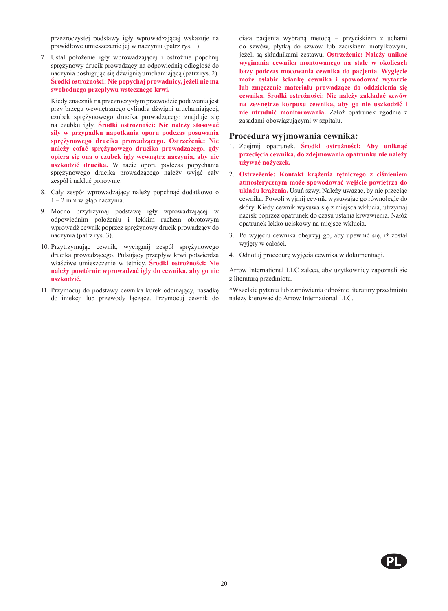przezroczystej podstawy igły wprowadzającej wskazuje na prawidłowe umieszczenie jej w naczyniu (patrz rys. 1).

7. Ustal położenie igły wprowadzającej i ostrożnie popchnij sprężynowy drucik prowadzący na odpowiednią odległość do naczynia posługując się dźwignią uruchamiającą (patrz rys. 2). **Środki ostrożności: Nie popychaj prowadnicy, jeżeli nie ma swobodnego przepływu wstecznego krwi.** 

Kiedy znacznik na przezroczystym przewodzie podawania jest przy brzegu wewnętrznego cylindra dźwigni uruchamiającej, czubek sprężynowego drucika prowadzącego znajduje się na czubku igły. **Środki ostrożności: Nie należy stosować siły w przypadku napotkania oporu podczas posuwania sprężynowego drucika prowadzącego. Ostrzeżenie: Nie należy cofać sprężynowego drucika prowadzącego, gdy opiera się ona o czubek igły wewnątrz naczynia, aby nie uszkodzić drucika.** W razie oporu podczas popychania sprężynowego drucika prowadzącego należy wyjąć cały zespół i nakłuć ponownie.

- 8. Cały zespół wprowadzający należy popchnąć dodatkowo o 1 – 2 mm w głąb naczynia.
- 9. Mocno przytrzymaj podstawę igły wprowadzającej w odpowiednim położeniu i lekkim ruchem obrotowym wprowadź cewnik poprzez sprężynowy drucik prowadzący do naczynia (patrz rys. 3).
- 10. Przytrzymując cewnik, wyciągnij zespół sprężynowego drucika prowadzącego. Pulsujący przepływ krwi potwierdza właściwe umieszczenie w tętnicy. **Środki ostrożności: Nie należy powtórnie wprowadzać igły do cewnika, aby go nie uszkodzić.**
- 11. Przymocuj do podstawy cewnika kurek odcinający, nasadkę do iniekcji lub przewody łączące. Przymocuj cewnik do

ciała pacjenta wybraną metodą – przyciskiem z uchami do szwów, płytką do szwów lub zaciskiem motylkowym, jeżeli są składnikami zestawu. **Ostrzeżenie: Należy unikać wyginania cewnika montowanego na stałe w okolicach bazy podczas mocowania cewnika do pacjenta. Wygięcie może osłabić ściankę cewnika i spowodować wytarcie lub zmęczenie materiału prowadzące do oddzielenia się cewnika. Środki ostrożności: Nie należy zakładać szwów na zewnętrze korpusu cewnika, aby go nie uszkodzić i nie utrudnić monitorowania.** Załóż opatrunek zgodnie z zasadami obowiązującymi w szpitalu.

#### **Procedura wyjmowania cewnika:**

- 1. Zdejmij opatrunek. **Środki ostrożności: Aby uniknąć przecięcia cewnika, do zdejmowania opatrunku nie należy używać nożyczek.**
- 2. **Ostrzeżenie: Kontakt krążenia tętniczego z ciśnieniem atmosferycznym może spowodować wejście powietrza do układu krążenia.** Usuń szwy. Należy uważać, by nie przeciąć cewnika. Powoli wyjmij cewnik wysuwając go równolegle do skóry. Kiedy cewnik wysuwa się z miejsca wkłucia, utrzymaj nacisk poprzez opatrunek do czasu ustania krwawienia. Nałóż opatrunek lekko uciskowy na miejsce wkłucia.
- 3. Po wyjęciu cewnika obejrzyj go, aby upewnić się, iż został wyjęty w całości.
- 4. Odnotuj procedurę wyjęcia cewnika w dokumentacji.

Arrow International LLC zaleca, aby użytkownicy zapoznali się z literaturą przedmiotu.

\*Wszelkie pytania lub zamówienia odnośnie literatury przedmiotu należy kierować do Arrow International LLC.

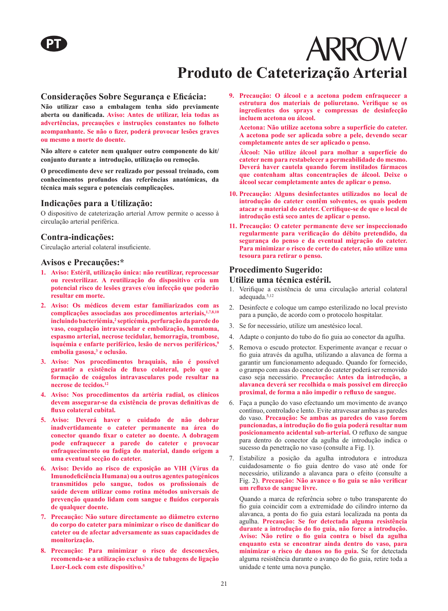## **ARROW Produto de Cateterização Arterial**

#### **Considerações Sobre Segurança e Eficácia:**

**Não utilizar caso a embalagem tenha sido previamente aberta ou danificada. Aviso: Antes de utilizar, leia todas as advertências, precauções e instruções constantes no folheto acompanhante. Se não o fizer, poderá provocar lesões graves ou mesmo a morte do doente.**

**Não altere o cateter nem qualquer outro componente do kit/ conjunto durante a introdução, utilização ou remoção.**

**O procedimento deve ser realizado por pessoal treinado, com conhecimentos profundos das referências anatómicas, da técnica mais segura e potenciais complicações.**

#### **Indicações para a Utilização:**

O dispositivo de cateterização arterial Arrow permite o acesso à circulação arterial periférica.

#### **Contra-indicações:**

Circulação arterial colateral insuficiente.

#### **Avisos e Precauções:\***

- **1. Aviso: Estéril, utilização única: não reutilizar, reprocessar ou reesterilizar. A reutilização do dispositivo cria um potencial risco de lesões graves e/ou infecção que poderão resultar em morte.**
- **2. Aviso: Os médicos devem estar familiarizados com as complicações associadas aos procedimentos arteriais,1,7,8,10 incluindo bacteriémia,2 septicémia, perfuração da parede do vaso, coagulação intravascular e embolização, hematoma, espasmo arterial, necrose tecidular, hemorragia, trombose, isquémia e enfarte periférico, lesão de nervos periféricos,<sup>9</sup> embolia gasosa,3 e oclusão.**
- **3. Aviso: Nos procedimentos braquiais, não é possível garantir a existência de fluxo colateral, pelo que a formação de coágulos intravasculares pode resultar na necrose de tecidos.<sup>12</sup>**
- **4. Aviso: Nos procedimentos da artéria radial, os clínicos devem assegurar-se da existência de provas definitivas de fluxo colateral cubital.**
- **5. Aviso: Deverá haver o cuidado de não dobrar inadvertidamente o cateter permanente na área do conector quando fixar o cateter ao doente. A dobragem pode enfraquecer a parede do cateter e provocar enfraquecimento ou fadiga do material, dando origem a uma eventual secção do cateter.**
- **6. Aviso: Devido ao risco de exposição ao VIH (Vírus da Imunodeficiência Humana) ou a outros agentes patogénicos transmitidos pelo sangue, todos os profissionais de saúde devem utilizar como rotina métodos universais de prevenção quando lidam com sangue e fluídos corporais de qualquer doente.**
- **7. Precaução: Não suture directamente ao diâmetro externo do corpo do cateter para minimizar o risco de danificar do cateter ou de afectar adversamente as suas capacidades de monitorização.**
- **8. Precaução: Para minimizar o risco de desconexões, recomenda-se a utilização exclusiva de tubagens de ligação Luer-Lock com este dispositivo.<sup>5</sup>**

**9. Precaução: O álcool e a acetona podem enfraquecer a estrutura dos materiais de poliuretano. Verifique se os ingredientes dos sprays e compressas de desinfecção incluem acetona ou álcool.**

**Acetona: Não utilize acetona sobre a superfície do cateter. A acetona pode ser aplicada sobre a pele, devendo secar completamente antes de ser aplicado o penso.**

**Álcool: Não utilize álcool para molhar a superfície do cateter nem para restabelecer a permeabilidade do mesmo. Deverá haver cautela quando forem instilados fármacos que contenham altas concentrações de álcool. Deixe o álcool secar completamente antes de aplicar o penso.**

- **10. Precaução: Alguns desinfectantes utilizados no local de introdução do cateter contêm solventes, os quais podem atacar o material do cateter. Certifique-se de que o local de introdução está seco antes de aplicar o penso.**
- **11. Precaução: O cateter permanente deve ser inspeccionado regularmente para verificação do débito pretendido, da segurança do penso e da eventual migração do cateter. Para minimizar o risco de corte do cateter, não utilize uma tesoura para retirar o penso.**

#### **Procedimento Sugerido:**

#### **Utilize uma técnica estéril.**

- 1. Verifique a existência de uma circulação arterial colateral adequada.5,12
- 2. Desinfecte e coloque um campo esterilizado no local previsto para a punção, de acordo com o protocolo hospitalar.
- 3. Se for necessário, utilize um anestésico local.
- 4. Adapte o conjunto do tubo do fio guia ao conector da agulha.
- 5. Remova o escudo protector. Experimente avançar e recuar o fio guia através da agulha, utilizando a alavanca de forma a garantir um funcionamento adequado. Quando for fornecido, o grampo com asas do conector do cateter poderá ser removido caso seja necessário. **Precaução: Antes da introdução, a alavanca deverá ser recolhida o mais possível em direcção proximal, de forma a não impedir o refluxo de sangue.**
- 6. Faça a punção do vaso efectuando um movimento de avanço contínuo, controlado e lento. Evite atravessar ambas as paredes do vaso. **Precaução: Se ambas as paredes do vaso forem puncionadas, a introdução do fio guia poderá resultar num posicionamento acidental sub-arterial.** O refluxo de sangue para dentro do conector da agulha de introdução indica o sucesso da penetração no vaso (consulte a Fig. 1).
- 7. Estabilize a posição da agulha introdutora e introduza cuidadosamente o fio guia dentro do vaso até onde for necessário, utilizando a alavanca para o efeito (consulte a Fig. 2). **Precaução: Não avance o fio guia se não verificar um refluxo de sangue livre.**

Quando a marca de referência sobre o tubo transparente do fio guia coincidir com a extremidade do cilindro interno da alavanca, a ponta do fio guia estará localizada na ponta da agulha. **Precaução: Se for detectada alguma resistência durante a introdução do fio guia, não force a introdução. Aviso: Não retire o fio guia contra o bisel da agulha enquanto esta se encontrar ainda dentro do vaso, para minimizar o risco de danos no fio guia.** Se for detectada alguma resistência durante o avanço do fio guia, retire toda a unidade e tente uma nova punção.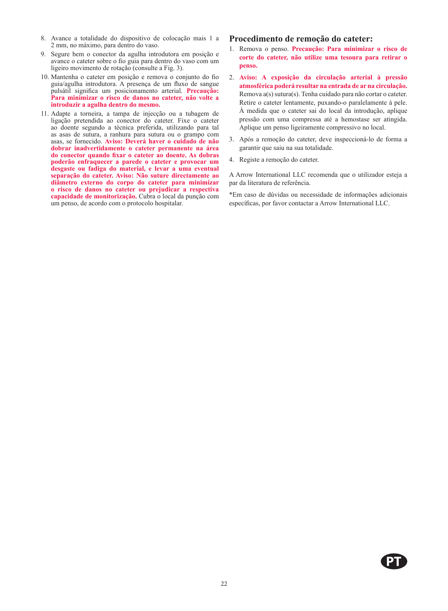- 8. Avance a totalidade do dispositivo de colocação mais 1 a 2 mm, no máximo, para dentro do vaso.
- 9. Segure bem o conector da agulha introdutora em posição e avance o cateter sobre o fio guia para dentro do vaso com um ligeiro movimento de rotação (consulte a Fig. 3).
- 10. Mantenha o cateter em posição e remova o conjunto do fio guia/agulha introdutora. A presença de um fluxo de sangue pulsátil significa um posicionamento arterial. **Precaução: Para minimizar o risco de danos no cateter, não volte a introduzir a agulha dentro do mesmo.**
- 11. Adapte a torneira, a tampa de injecção ou a tubagem de ligação pretendida ao conector do cateter. Fixe o cateter ao doente segundo a técnica preferida, utilizando para tal as asas de sutura, a ranhura para sutura ou o grampo com asas, se fornecido. **Aviso: Deverá haver o cuidado de não dobrar inadvertidamente o cateter permanente na área do conector quando fixar o cateter ao doente. As dobras poderão enfraquecer a parede o cateter e provocar um desgaste ou fadiga do material, e levar a uma eventual separação do cateter. Aviso: Não suture directamente ao diâmetro externo do corpo do cateter para minimizar o risco de danos no cateter ou prejudicar a respectiva capacidade de monitorização.** Cubra o local da punção com um penso, de acordo com o protocolo hospitalar.

#### **Procedimento de remoção do cateter:**

- 1. Remova o penso. **Precaução: Para minimizar o risco de corte do cateter, não utilize uma tesoura para retirar o penso.**
- 2. **Aviso: A exposição da circulação arterial à pressão atmosférica poderá resultar na entrada de ar na circulação.**  Remova a(s) sutura(s). Tenha cuidado para não cortar o cateter. Retire o cateter lentamente, puxando-o paralelamente à pele. À medida que o cateter sai do local da introdução, aplique pressão com uma compressa até a hemostase ser atingida. Aplique um penso ligeiramente compressivo no local.
- 3. Após a remoção do cateter, deve inspeccioná-lo de forma a garantir que saiu na sua totalidade.
- 4. Registe a remoção do cateter.

A Arrow International LLC recomenda que o utilizador esteja a par da literatura de referência.

\*Em caso de dúvidas ou necessidade de informações adicionais específicas, por favor contactar a Arrow International LLC.

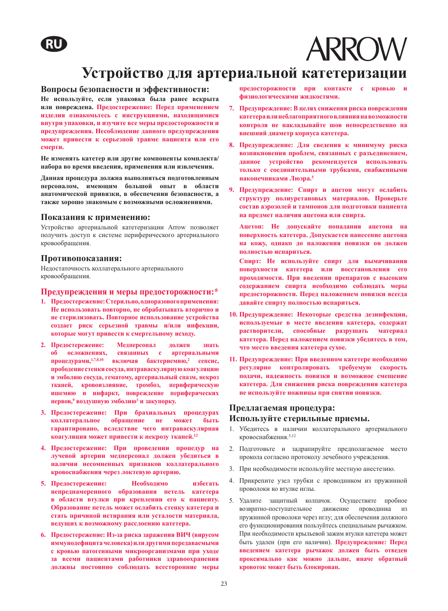## RU



### **Устройство для артериальной катетеризации**

#### **Вопросы безопасности и эффективности:**

**Не используйте, если упаковка была ранее вскрыта или повреждена. Предостережение: Перед применением изделия ознакомьтесь с инструкциями, находящимися внутри упаковки, и изучите все меры предосторожности и предупреждения. Несоблюдение данного предупреждения может привести к серьезной травме пациента или его смерти.** 

**Не изменять катетер или другие компоненты комплекта/ набора во время введения, применения или извлечения.**

**Данная процедура должна выполняться подготовленным персоналом, имеющим большой опыт в области анатомической привязки, в обеспечении безопасности, а также хорошо знакомым с возможными осложнениями.**

#### **Показания к применению:**

Устройство артериальной катетеризации Arrow позволяет получить доступ к системе периферического артериального кровообращения.

#### **Противопоказания:**

Недостаточность коллатерального артериального кровообращения.

#### **Предупреждения и меры предосторожности:\***

- **1. Предостережение: Стерильно, одноразового применения: Не использовать повторно, не обрабатывать вторично и не стерилизовать. Повторное использование устройства создает риск серьезной травмы и/или инфекции, которые могут привести к смертельному исходу.**
- **2. Предостережение: Медперсонал должен знать об осложнениях, связанных с артериальными процедурами,1,7,8,10 включая бактериемию,<sup>2</sup> сепсис, прободение стенки сосуда, интраваскулярную коагуляцию и эмболию сосуда, гематому, артериальный спазм, некроз тканей, кровоизлияние, тромбоз, периферическую ишемию и инфаркт, повреждение периферических нервов,<sup>9</sup> воздушную эмболию<sup>3</sup> и закупорку.**
- **3. Предостережение: При брахиальных процедурах коллатеральное обращение не может быть гарантировано, вследствие чего интраваскулярная коагуляция может привести к некрозу тканей.<sup>12</sup>**
- **4. Предостережение: При проведении процедур на лучевой артерии медперсонал должен убедиться в наличии несомненных признаков коллатерального кровоснабжения через локтевую артерию.**
- **5. Предостережение: Необходимо избегать непреднамеренного образования петель катетера в области втулки при креплении его к пациенту. Образование петель может ослабить стенку катетера и стать причиной истирания или усталости материала, ведущих к возможному расслоению катетера.**
- **6. Предостережение: Из-за риска заражения ВИЧ (вирусом иммунодефицита человека) или другими передаваемыми с кровью патогенными микроорганизмами при уходе за всеми пациентами работники здравоохранения должны постоянно соблюдать всесторонние меры**

предосторожности при контакте с кровью **физиологическими жидкостями.**

- **7. Предупреждение: В целях снижения риска повреждения катетера или неблагоприятного влияния на возможности контроля не накладывайте шов непосредственно на внешний диаметр корпуса катетера.**
- **8. Предупреждение: Для сведения к минимуму риска возникновения проблем, связанных с разъединением, данное устройство рекомендуется использовать только с соединительными трубками, снабженными наконечниками Люэра.<sup>5</sup>**
- **9. Предупреждение: Спирт и ацетон могут ослабить структуру полиуретановых материалов. Проверьте состав аэрозолей и тампонов для подготовки пациента на предмет наличия ацетона или спирта.**

**Ацетон: Не допускайте попадания ацетона на поверхность катетера. Допускается нанесение ацетона на кожу, однако до наложения повязки он должен полностью испариться.**

**Спирт: Не используйте спирт для вымачивания поверхности катетера или восстановления его проходимости. При введении препаратов с высоким содержанием спирта необходимо соблюдать меры предосторожности. Перед наложением повязки всегда давайте спирту полностью испариться.** 

- **10. Предупреждение: Некоторые средства дезинфекции, используемые в месте введения катетера, содержат растворители, способные разрушать материал катетера. Перед наложением повязки убедитесь в том, что место введения катетера сухое.**
- **11. Предупреждение: При введенном катетере необходимо регулярно контролировать требуемую скорость подачи, надежность повязки и возможное смещение катетера. Для снижения риска повреждения катетера не используйте ножницы при снятии повязки.**

#### **Предлагаемая процедура: Используйте стерильные приемы.**

- 1. Убедитесь в наличии коллатерального артериального кровоснабжения.5,12
- 2. Подготовьте и задрапируйте предполагаемое место прокола согласно протоколу лечебного учреждения.
- 3. При необходимости используйте местную анестезию.
- 4. Прикрепите узел трубки с проводником из пружинной проволоки ко втулке иглы.
- 5. Удалите защитный колпачок. Осуществите пробное возвратно-поступательное движение проводника из пружинной проволоки через иглу; для обеспечения должного его функционирования пользуйтесь специальным рычажком. При необходимости крыльевой зажим втулки катетера может быть удален (при его наличии). **Предупреждение: Перед введением катетера рычажок должен быть отведен проксимально как можно дальше, иначе обратный кровоток может быть блокирован.**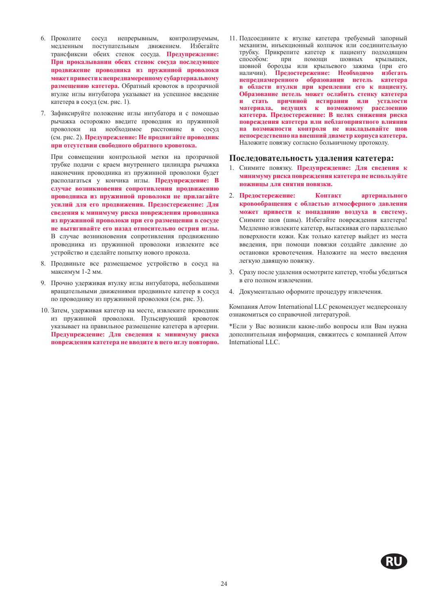- 6. Проколите сосуд непрерывным, контролируемым, медленным поступательным движением. Избегайте трансфиксии обеих стенок сосуда. **Предупреждение: При прокалывании обеих стенок сосуда последующее продвижение проводника из пружинной проволоки может привести к непреднамеренному субартериальному размещению катетера.** Обратный кровоток в прозрачной втулке иглы интубатора указывает на успешное введение катетера в сосуд (см. рис. 1).
- 7. Зафиксируйте положение иглы интубатора и с помощью рычажка осторожно введите проводник из пружинной проволоки на необходимое расстояние в сосуд (см. рис. 2). **Предупреждение: Не продвигайте проводник при отсутствии свободного обратного кровотока.**

При совмещении контрольной метки на прозрачной трубке подачи с краем внутреннего цилиндра рычажка наконечник проводника из пружинной проволоки будет располагаться у кончика иглы. **Предупреждение: В случае возникновения сопротивления продвижению проводника из пружинной проволоки не прилагайте усилий для его продвижения. Предостережение: Для сведения к минимуму риска повреждения проводника из пружинной проволоки при его размещении в сосуде не вытягивайте его назад относительно острия иглы.**  В случае возникновения сопротивления продвижению проводника из пружинной проволоки извлеките все устройство и сделайте попытку нового прокола.

- 8. Продвиньте все размещаемое устройство в сосуд на максимум 1-2 мм.
- 9. Прочно удерживая втулку иглы интубатора, небольшими вращательными движениями продвиньте катетер в сосуд по проводнику из пружинной проволоки (см. рис. 3).
- 10. Затем, удерживая катетер на месте, извлеките проводник из пружинной проволоки. Пульсирующий кровоток указывает на правильное размещение катетера в артерии. **Предупреждение: Для сведения к минимуму риска повреждения катетера не вводите в него иглу повторно.**

11. Подсоедините к втулке катетера требуемый запорный механизм, инъекционный колпачок или соединительную трубку. Прикрепите катетер к пациенту подходящим способом: при помощи шовных шовной борозды или крыльевого зажима (при его наличии). **Предостережение: Необходимо избегать непреднамеренного образования петель катетера в области втулки при креплении его к пациенту. Образование петель может ослабить стенку катетера и стать причиной истирания или усталости материала, ведущих к возможному расслоению катетера. Предостережение: В целях снижения риска повреждения катетера или неблагоприятного влияния на возможности контроля не накладывайте шов непосредственно на внешний диаметр корпуса катетера.**  Наложите повязку согласно больничному протоколу.

#### **Последовательность удаления катетера:**

- 1. Снимите повязку. **Предупреждение: Для сведения к минимуму риска повреждения катетера не используйте ножницы для снятия повязки.**
- 2. **Предостережение: Контакт артериального кровообращения с областью атмосферного давления может привести к попаданию воздуха в систему.**  Снимите шов (швы). Избегайте повреждения катетера! Медленно извлеките катетер, вытаскивая его параллельно поверхности кожи. Как только катетер выйдет из места введения, при помощи повязки создайте давление до остановки кровотечения. Наложите на место введения легкую давящую повязку.
- 3. Сразу после удаления осмотрите катетер, чтобы убедиться в его полном извлечении.
- 4. Документально оформите процедуру извлечения.

Компания Arrow International LLC рекомендует медперсоналу ознакомиться со справочной литературой.

\*Если у Вас возникли какие-либо вопросы или Вам нужна дополнительная информация, свяжитесь с компанией Arrow International LLC.

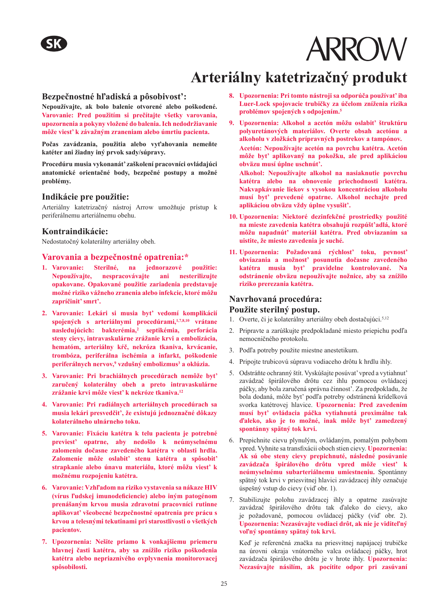## **Arteriálny katetrizačný produkt**

#### **Bezpečnostné hľadiská a pôsobivost':**

**Nepoužívajte, ak bolo balenie otvorené alebo poškodené. Varovanie: Pred použitím si prečítajte všetky varovania, upozornenia a pokyny vložené do balenia. Ich nedodržiavanie môže viest' k závažným zraneniam alebo úmrtiu pacienta.** 

**Počas zavádzania, použitia alebo vyťahovania nemeňte katéter ani žiadny iný prvok sady/súpravy.**

**Procedúru musia vykonanát' zaškolení pracovníci ovládajúci anatomické orientačné body, bezpečné postupy a možné problémy.** 

#### **Indikácie pre použitie:**

Arteriálny katetrizačný nástroj Arrow umožňuje prístup k periferálnemu arteriálnemu obehu.

#### **Kontraindikácie:**

Nedostatočný kolaterálny arteriálny obeh.

#### **Varovania a bezpečnostné opatrenia:\***

- **1. Varovanie: Sterilné, na jednorazové použitie: Nepoužívajte, nespracovávajte ani nesterilizujte opakovane. Opakované použitie zariadenia predstavuje možné riziko vážneho zranenia alebo infekcie, ktoré môžu zapríčinit' smrt'.**
- **2. Varovanie: Lekári si musia byt' vedomí komplikácií spojených s arteriálnymi procedúrami,1,7,8,10 vrátane nasledujúcich: bakterémia,2 septikémia, perforácia steny cievy, intravaskulárne zrážanie krvi a embolizácia, hematóm, arteriálny kŕč, nekróza tkaniva, krvácanie, trombóza, periferálna ischémia a infarkt, poškodenie periferálnych nervov,<sup>9</sup> vzdušný embolizmus<sup>3</sup> a oklúzia.**
- **3. Varovanie: Pri brachiálnych procedúrach nemôže byt' zaručený kolaterálny obeh a preto intravaskulárne zrážanie krvi môže viest' k nekróze tkaniva.<sup>12</sup>**
- **4. Varovanie: Pri radiálnych arteriálnych procedúrach sa musia lekári presvedčit', že existujú jednoznačné dôkazy kolaterálneho ulnárneho toku.**
- **5. Varovanie: Fixáciu katétra k telu pacienta je potrebné previest' opatrne, aby nedošlo k neúmyselnému zalomeniu dočasne zavedeného katétra v oblasti hrdla. Zalomenie môže oslabit' stenu katétra a spôsobit' strapkanie alebo únavu materiálu, ktoré môžu viest' k možnému rozpojeniu katétra.**
- **6. Varovanie: Vzhľadom na riziko vystavenia sa nákaze HIV (vírus ľudskej imunodeficiencie) alebo iným patogénom prenášaným krvou musia zdravotní pracovníci rutinne aplikovat' všeobecné bezpečnostné opatrenia pre prácu s krvou a telesnými tekutinami pri starostlivosti o všetkých pacientov.**
- **7. Upozornenia: Nešite priamo k vonkajšiemu priemeru hlavnej časti katétra, aby sa znížilo riziko poškodenia katétra alebo nepriaznivého ovplyvnenia monitorovacej spôsobilosti.**
- **8. Upozornenia: Pri tomto nástroji sa odporúča používat' iba Luer-Lock spojovacie trubičky za účelom zníženia rizika problémov spojených s odpojením.<sup>5</sup>**
- **9. Upozornenia: Alkohol a acetón môžu oslabit' štruktúru polyuretánových materiálov. Overte obsah acetónu a alkoholu v zložkách prípravných postrekov a tampónov. Acetón: Nepoužívajte acetón na povrchu katétra. Acetón môže byt' aplikovaný na pokožku, ale pred aplikáciou obväzu musí úplne uschnút'.**

**Alkohol: Nepoužívajte alkohol na nasiaknutie povrchu katétra alebo na obnovenie priechodnosti katétra. Nakvapkávanie liekov s vysokou koncentráciou alkoholu musí byt' prevedené opatrne. Alkohol nechajte pred aplikáciou obväzu vždy úplne vysušit'.** 

- **10. Upozornenia: Niektoré dezinfekčné prostriedky použité na mieste zavedenia katétra obsahujú rozpúšt'adlá, ktoré môžu napadnút' materiál katétra. Pred obviazaním sa uistite, že miesto zavedenia je suché.**
- **11. Upozornenia: Požadovaná rýchlost' toku, pevnost' obviazania a možnost' posunutia dočasne zavedeného katétra musia byt' pravidelne kontrolované. Na odstránenie obväzu nepoužívajte nožnice, aby sa znížilo riziko prerezania katétra.**

#### **Navrhovaná procedúra:**

#### **Použite sterilný postup.**

- 1. Overte, či je kolaterálny arteriálny obeh dostačujúci.<sup>5,12</sup>
- 2. Pripravte a zarúškujte predpokladané miesto priepichu podľa nemocničného protokolu.
- 3. Podľa potreby použite miestne anestetikum.
- 4. Pripojte trubicovú súpravu vodiaceho drôtu k hrdlu ihly.
- 5. Odstráňte ochranný štít. Vyskúšajte posúvat' vpred a vytiahnut' zavádzač špirálového drôtu cez ihlu pomocou ovládacej páčky, aby bola zaručená správna činnost'. Za predpokladu, že bola dodaná, môže byt' podľa potreby odstránená krídelková svorka katétrovej hlavice. **Upozornenia: Pred zavedením musí byt' ovládacia páčka vytiahnutá proximálne tak ďaleko, ako je to možné, inak môže byt' zamedzený spontánny spätný tok krvi.**
- 6. Prepichnite cievu plynulým, ovládaným, pomalým pohybom vpred. Vyhnite sa transfixácii oboch stien cievy. **Upozornenia: Ak sú obe steny cievy prepichnuté, následné posúvanie zavádzača špirálového drôtu vpred môže viest' k neúmyselnému subarteriálnemu umiestneniu.** Spontánny spätný tok krvi v priesvitnej hlavici zavádzacej ihly označuje úspešný vstup do cievy (viď obr. 1).
- 7. Stabilizujte polohu zavádzacej ihly a opatrne zasúvajte zavádzač špirálového drôtu tak ďaleko do cievy, ako je požadované, pomocou ovládacej páčky (viď obr. 2). **Upozornenia: Nezasúvajte vodiaci drôt, ak nie je viditeľný voľný spontánny spätný tok krvi.**

Keď je referenčná značka na priesvitnej napájacej trubičke na úrovni okraja vnútorného valca ovládacej páčky, hrot zavádzača špirálového drôtu je v hrote ihly. **Upozornenia: Nezasúvajte násilím, ak pocítite odpor pri zasúvaní**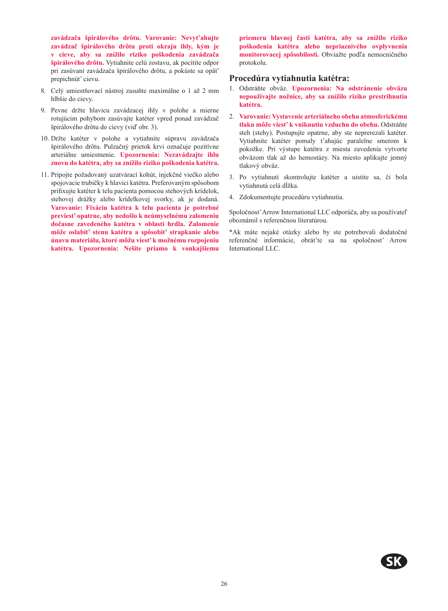**zavádzača špirálového drôtu. Varovanie: Nevyt'ahujte zavádzač špirálového drôtu proti okraju ihly, kým je v cieve, aby sa znížilo riziko poškodenia zavádzača špirálového drôtu.** Vytiahnite celú zostavu, ak pocítite odpor pri zasúvaní zavádzača špirálového drôtu, a pokúste sa opät' prepichnút' cievu.

- 8. Celý umiestňovací nástroj zasuňte maximálne o 1 až 2 mm hlbšie do cievy.
- 9. Pevne držte hlavicu zavádzacej ihly v polohe a mierne rotujúcim pohybom zasúvajte katéter vpred ponad zavádzač špirálového drôtu do cievy (viď obr. 3).
- 10. Držte katéter v polohe a vytiahnite súpravu zavádzača špirálového drôtu. Pulzačný prietok krvi označuje pozitívne arteriálne umiestnenie. **Upozornenia: Nezavádzajte ihlu znovu do katétra, aby sa znížilo riziko poškodenia katétra.**
- 11. Pripojte požadovaný uzatvárací kohút, injekčné viečko alebo spojovacie trubičky k hlavici katétra. Preferovaným spôsobom prifixujte katéter k telu pacienta pomocou stehových krídelok, stehovej drážky alebo krídelkovej svorky, ak je dodaná. **Varovanie: Fixáciu katétra k telu pacienta je potrebné previest' opatrne, aby nedošlo k neúmyselnému zalomeniu dočasne zavedeného katétra v oblasti hrdla. Zalomenie môže oslabit' stenu katétra a spôsobit' strapkanie alebo únavu materiálu, ktoré môžu viest' k možnému rozpojeniu katétra. Upozornenia: Nešite priamo k vonkajšiemu**

**priemeru hlavnej časti katétra, aby sa znížilo riziko poškodenia katétra alebo nepriaznivého ovplyvnenia monitorovacej spôsobilosti.** Obviažte podľa nemocničného protokolu.

#### **Procedúra vytiahnutia katétra:**

- 1. Odstráňte obväz. **Upozornenia: Na odstránenie obväzu nepoužívajte nožnice, aby sa znížilo riziko prestrihnutia katétra.**
- 2. **Varovanie: Vystavenie arteriálneho obehu atmosferickému tlaku môže viest' k vniknutiu vzduchu do obehu.** Odstráňte steh (stehy). Postupujte opatrne, aby ste neprerezali katéter. Vytiahnite katéter pomaly t'ahajúc paralelne smerom k pokožke. Pri výstupe katétra z miesta zavedenia vytvorte obväzom tlak až do hemostázy. Na miesto aplikujte jemný tlakový obväz.
- 3. Po vytiahnutí skontrolujte katéter a uistite sa, či bola vytiahnutá celá dĺžka.
- 4. Zdokumentujte procedúru vytiahnutia.

Spoločnost' Arrow International LLC odporúča, aby sa používateľ oboznámil s referenčnou literatúrou.

\*Ak máte nejaké otázky alebo by ste potrebovali dodatočné referenčné informácie, obrát'te sa na spoločnost' Arrow International LLC.

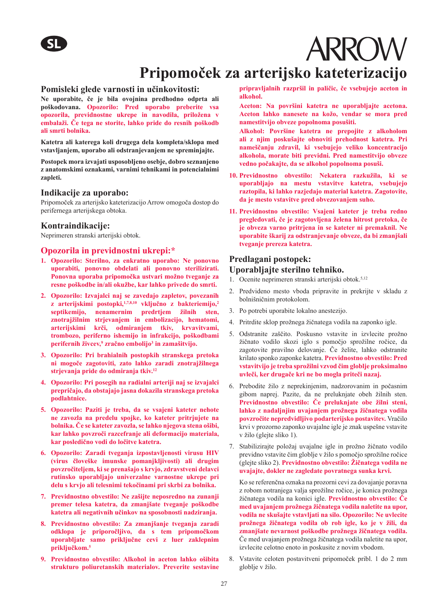## **Pripomoček za arterijsko kateterizacijo**

#### **Pomisleki glede varnosti in učinkovitosti:**

**Ne uporabite, če je bila ovojnina predhodno odprta ali poškodovana. Opozorilo: Pred uporabo preberite vsa opozorila, previdnostne ukrepe in navodila, priložena v embalaži. Če tega ne storite, lahko pride do resnih poškodb ali smrti bolnika.** 

**Katetra ali katerega koli drugega dela kompleta/sklopa med vstavljanjem, uporabo ali odstranjevanjem ne spreminjajte.**

**Postopek mora izvajati usposobljeno osebje, dobro seznanjeno z anatomskimi oznakami, varnimi tehnikami in potencialnimi zapleti.**

#### **Indikacije za uporabo:**

Pripomoček za arterijsko kateterizacijo Arrow omogoča dostop do perifernega arterijskega obtoka.

#### **Kontraindikacije:**

Neprimeren stranski arterijski obtok.

#### **Opozorila in previdnostni ukrepi:\***

- **1. Opozorilo: Sterilno, za enkratno uporabo: Ne ponovno uporabiti, ponovno obdelati ali ponovno sterilizirati. Ponovna uporaba pripomočka ustvari možno tveganje za resne poškodbe in/ali okužbe, kar lahko privede do smrti.**
- **2. Opozorilo: Izvajalci naj se zavedajo zapletov, povezanih z arterijskimi postopki,1,7,8,10 vključno z bakteriemijo,<sup>2</sup> septikemijo, nenamernim predrtjem žilnih sten, znotrajžilnim strjevanjem in embolizacijo, hematomi, arterijskimi krči, odmiranjem tkiv, krvavitvami, trombozo, periferno ishemijo in infrakcijo, poškodbami perifernih živcev,9 zračno embolijo3 in zamašitvijo.**
- **3. Opozorilo: Pri brahialnih postopkih stranskega pretoka ni mogoče zagotoviti, zato lahko zaradi znotrajžilnega strjevanja pride do odmiranja tkiv.<sup>12</sup>**
- **4. Opozorilo: Pri posegih na radialni arteriji naj se izvajalci prepričajo, da obstajajo jasna dokazila stranskega pretoka podlahtnice.**
- **5. Opozorilo: Paziti je treba, da se vsajeni kateter nehote ne zavozla na predelu spojke, ko kateter pritrjujete na bolnika. Če se kateter zavozla, se lahko njegova stena ošibi, kar lahko povzroči razcefranje ali deformacijo materiala, kar posledično vodi do ločitve katetra.**
- **6. Opozorilo: Zaradi tveganja izpostavljenosti virusu HIV (virus človeške imunske pomanjkljivosti) ali drugim povzročiteljem, ki se prenašajo s krvjo, zdravstveni delavci rutinsko uporabljajo univerzalne varnostne ukrepe pri delu s krvjo ali telesnimi tekočinami pri skrbi za bolnika.**
- **7. Previdnostno obvestilo: Ne zašijte neposredno na zunanji premer telesa katetra, da zmanjšate tveganje poškodbe katetra ali negativnih učinkov na sposobnosti nadziranja.**
- **8. Previdnostno obvestilo: Za zmanjšanje tveganja zaradi odklopa je priporočljivo, da s tem pripomočkom uporabljate samo priključne cevi z luer zaklepnim priključkom.<sup>5</sup>**
- **9. Previdnostno obvestilo: Alkohol in aceton lahko ošibita strukturo poliuretanskih materialov. Preverite sestavine**

**pripravljalnih razpršil in paličic, če vsebujejo aceton in alkohol.**

**ARROW** 

**Aceton: Na površini katetra ne uporabljajte acetona. Aceton lahko nanesete na kožo, vendar se mora pred namestitvijo obveze popolnoma posušiti.**

**Alkohol: Površine katetra ne prepojite z alkoholom ali z njim poskušajte obnoviti prehodnost katetra. Pri nameščanju zdravil, ki vsebujejo veliko koncentracijo alkohola, morate biti previdni. Pred namestitvijo obveze vedno počakajte, da se alkohol popolnoma posuši.** 

- **10. Previdnostno obvestilo: Nekatera razkužila, ki se uporabljajo na mestu vstavitve katetra, vsebujejo raztopila, ki lahko razjedajo material katetra. Zagotovite, da je mesto vstavitve pred obvezovanjem suho.**
- **11. Previdnostno obvestilo: Vsajeni kateter je treba redno pregledovati, če je zagotovljena želena hitrost pretoka, če je obveza varno pritrjena in se kateter ni premaknil. Ne uporabite škarij za odstranjevanje obveze, da bi zmanjšali tveganje prereza katetra.**

#### **Predlagani postopek:**

#### **Uporabljajte sterilno tehniko.**

- 1. Ocenite neprimeren stranski arterijski obtok.<sup>5,12</sup>
- 2. Predvideno mesto vboda pripravite in prekrijte v skladu z bolnišničnim protokolom.
- 3. Po potrebi uporabite lokalno anestezijo.
- 4. Pritrdite sklop prožnega žičnatega vodila na zaponko igle.
- 5. Odstranite zaščito. Poskusno vstavite in izvlecite prožno žičnato vodilo skozi iglo s pomočjo sprožilne ročice, da zagotovite pravilno delovanje. Če želite, lahko odstranite krilato sponko zaponke katetra. **Previdnostno obvestilo: Pred vstavitvijo je treba sprožilni vzvod čim globlje proksimalno uvleči, ker drugače kri ne bo mogla priteči nazaj.**
- 6. Prebodite žilo z neprekinjenim, nadzorovanim in počasnim gibom naprej. Pazite, da ne preluknjate obeh žilnih sten. **Previdnostno obvestilo: Če preluknjate obe žilni steni, lahko z nadaljnjim uvajanjem prožnega žičnatega vodila povzročite nepredvidljivo podarterijsko postavitev.** Vračilo krvi v prozorno zaponko uvajalne igle je znak uspešne vstavite v žilo (glejte sliko 1).
- 7. Stabilizirajte položaj uvajalne igle in prožno žičnato vodilo previdno vstavite čim globlje v žilo s pomočjo sprožilne ročice (glejte sliko 2). **Previdnostno obvestilo: Žičnatega vodila ne uvajajte, dokler ne zagledate povratnega sunka krvi.**

Ko se referenčna oznaka na prozorni cevi za dovajanje poravna z robom notranjega valja sprožilne ročice, je konica prožnega žičnatega vodila na konici igle. **Previdnostno obvestilo: Če med uvajanjem prožnega žičnatega vodila naletite na upor, vodila ne skušajte vstavljati na silo. Opozorilo: Ne uvlecite prožnega žičnatega vodila ob rob igle, ko je v žili, da zmanjšate nevarnost poškodbe prožnega žičnatega vodila.**  Če med uvajanjem prožnega žičnatega vodila naletite na upor, izvlecite celotno enoto in poskusite z novim vbodom.

8. Vstavite celoten postavitveni pripomoček pribl. 1 do 2 mm globlje v žilo.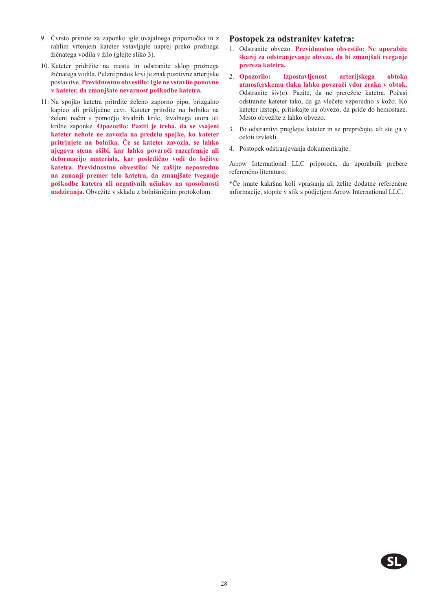- 9. Čvrsto primite za zaponko igle uvajalnega pripomočka in z rahlim vrtenjem kateter vstavljajte naprej preko prožnega žičnatega vodila v žilo (glejte sliko 3).
- 10. Kateter pridržite na mestu in odstranite sklop prožnega žičnatega vodila. Pulzni pretok krvi je znak pozitivne arterijske postavitve. **Previdnostno obvestilo: Igle ne vstavite ponovno v kateter, da zmanjšate nevarnost poškodbe katetra.**
- 11. Na spojko katetra pritrdite želeno zaporno pipo, brizgalno kapico ali priključne cevi. Kateter pritrdite na bolnika na želeni način s pomočjo šivalnih krilc, šivalnega utora ali krilne zaponke. **Opozorilo: Paziti je treba, da se vsajeni kateter nehote ne zavozla na predelu spojke, ko kateter pritrjujete na bolnika. Če se kateter zavozla, se lahko njegova stena ošibi, kar lahko povzroči razcefranje ali deformacijo materiala, kar posledično vodi do ločitve katetra. Previdnostno obvestilo: Ne zašijte neposredno na zunanji premer telo katetra, da zmanjšate tveganje poškodbe katetra ali negativnih učinkov na sposobnosti nadziranja.** Obvežite v skladu z bolnišničnim protokolom.

#### **Postopek za odstranitev katetra:**

- 1. Odstranite obvezo. **Previdnostno obvestilo: Ne uporabite škarij za odstranjevanje obveze, da bi zmanjšali tveganje prereza katetra.**
- 2. **Opozorilo: Izpostavljenost arterijskega obtoka atmosferskemu tlaku lahko povzroči vdor zraka v obtok.**  Odstranite šiv(e). Pazite, da ne prerežete katetra. Počasi odstranite kateter tako, da ga vlečete vzporedno s kožo. Ko kateter izstopi, pritiskajte na obvezo, da pride do hemostaze. Mesto obvežite z lahko obvezo.
- 3. Po odstranitvi preglejte kateter in se prepričajte, ali ste ga v celoti izvlekli.
- 4. Postopek odstranjevanja dokumentirajte.

Arrow International LLC priporoča, da uporabnik prebere referenčno literaturo.

\*Če imate kakršna koli vprašanja ali želite dodatne referenčne informacije, stopite v stik s podjetjem Arrow International LLC.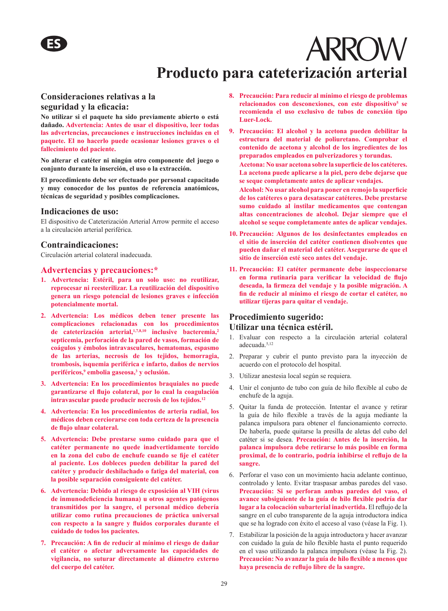## **ARROW Producto para cateterización arterial**

#### **Consideraciones relativas a la seguridad y la eficacia:**

**No utilizar si el paquete ha sido previamente abierto o está dañado. Advertencia: Antes de usar el dispositivo, leer todas las advertencias, precauciones e instrucciones incluidas en el paquete. El no hacerlo puede ocasionar lesiones graves o el fallecimiento del paciente.**

**No alterar el catéter ni ningún otro componente del juego o conjunto durante la inserción, el uso o la extracción.** 

**El procedimiento debe ser efectuado por personal capacitado y muy conocedor de los puntos de referencia anatómicos, técnicas de seguridad y posibles complicaciones.**

#### **Indicaciones de uso:**

El dispositivo de Cateterización Arterial Arrow permite el acceso a la circulación arterial periférica.

#### **Contraindicaciones:**

Circulación arterial colateral inadecuada.

#### **Advertencias y precauciones:\***

- **1. Advertencia: Estéril, para un solo uso: no reutilizar, reprocesar ni reesterilizar. La reutilización del dispositivo genera un riesgo potencial de lesiones graves e infección potencialmente mortal.**
- **2. Advertencia: Los médicos deben tener presente las complicaciones relacionadas con los procedimientos de cateterización arterial,1,7,8,10 inclusive bacteremia,<sup>2</sup> septicemia, perforación de la pared de vasos, formación de coágulos y émbolos intravasculares, hematomas, espasmo de las arterias, necrosis de los tejidos, hemorragia, trombosis, isquemia periférica e infarto, daños de nervios periféricos,<sup>9</sup> embolia gaseosa,3 y oclusión.**
- **3. Advertencia: En los procedimientos braquiales no puede garantizarse el flujo colateral, por lo cual la coagulación intravascular puede producir necrosis de los tejidos.<sup>12</sup>**
- **4. Advertencia: En los procedimientos de arteria radial, los médicos deben cerciorarse con toda certeza de la presencia de flujo ulnar colateral.**
- **5. Advertencia: Debe prestarse sumo cuidado para que el catéter permanente no quede inadvertidamente torcido en la zona del cubo de enchufe cuando se fije el catéter al paciente. Los dobleces pueden debilitar la pared del catéter y producir deshilachado o fatiga del material, con la posible separación consiguiente del catéter.**
- **6. Advertencia: Debido al riesgo de exposición al VIH (virus de inmunodeficiencia humana) u otros agentes patógenos transmitidos por la sangre, el personal médico debería utilizar como rutina precauciones de práctica universal con respecto a la sangre y fluidos corporales durante el cuidado de todos los pacientes.**
- **7. Precaución: A fin de reducir al mínimo el riesgo de dañar el catéter o afectar adversamente las capacidades de vigilancia, no suturar directamente al diámetro externo del cuerpo del catéter.**
- **8. Precaución: Para reducir al mínimo el riesgo de problemas relacionados con desconexiones, con este dispositivo5 se recomienda el uso exclusivo de tubos de conexión tipo Luer-Lock.**
- **9. Precaución: El alcohol y la acetona pueden debilitar la estructura del material de poliuretano. Comprobar el contenido de acetona y alcohol de los ingredientes de los preparados empleados en pulverizadores y torundas.**

**Acetona: No usar acetona sobre la superficie de los catéteres. La acetona puede aplicarse a la piel, pero debe dejarse que se seque completamente antes de aplicar vendajes.**

**Alcohol: No usar alcohol para poner en remojo la superficie de los catéteres o para desatascar catéteres. Debe prestarse sumo cuidado al instilar medicamentos que contengan altas concentraciones de alcohol. Dejar siempre que el alcohol se seque completamente antes de aplicar vendajes.**

- **10. Precaución: Algunos de los desinfectantes empleados en el sitio de inserción del catéter contienen disolventes que pueden dañar el material del catéter. Asegurarse de que el sitio de inserción esté seco antes del vendaje.**
- **11. Precaución: El catéter permanente debe inspeccionarse en forma rutinaria para verificar la velocidad de flujo deseada, la firmeza del vendaje y la posible migración. A fin de reducir al mínimo el riesgo de cortar el catéter, no utilizar tijeras para quitar el vendaje.**

#### **Procedimiento sugerido: Utilizar una técnica estéril.**

- 1. Evaluar con respecto a la circulación arterial colateral adecuada.5,12
- 2. Preparar y cubrir el punto previsto para la inyección de acuerdo con el protocolo del hospital.
- 3. Utilizar anestesia local según se requiera.
- 4. Unir el conjunto de tubo con guía de hilo flexible al cubo de enchufe de la aguja.
- 5. Quitar la funda de protección. Intentar el avance y retirar la guía de hilo flexible a través de la aguja mediante la palanca impulsora para obtener el funcionamiento correcto. De haberla, puede quitarse la presilla de aletas del cubo del catéter si se desea. **Precaución: Antes de la inserción, la palanca impulsora debe retirarse lo más posible en forma proximal, de lo contrario, podría inhibirse el reflujo de la sangre.**
- 6. Perforar el vaso con un movimiento hacia adelante continuo, controlado y lento. Evitar traspasar ambas paredes del vaso. **Precaución: Si se perforan ambas paredes del vaso, el avance subsiguiente de la guía de hilo flexible podría dar lugar a la colocación subarterial inadvertida.** El reflujo de la sangre en el cubo transparente de la aguja introductora indica que se ha logrado con éxito el acceso al vaso (véase la Fig. 1).
- 7. Estabilizar la posición de la aguja introductora y hacer avanzar con cuidado la guía de hilo flexible hasta el punto requerido en el vaso utilizando la palanca impulsora (véase la Fig. 2). **Precaución: No avanzar la guía de hilo flexible a menos que haya presencia de reflujo libre de la sangre.**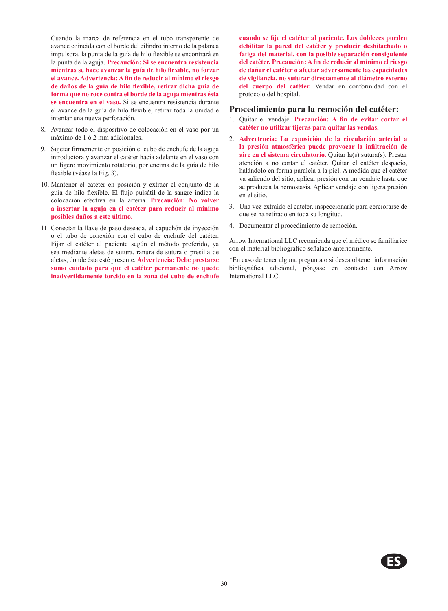Cuando la marca de referencia en el tubo transparente de avance coincida con el borde del cilindro interno de la palanca impulsora, la punta de la guía de hilo flexible se encontrará en la punta de la aguja. **Precaución: Si se encuentra resistencia mientras se hace avanzar la guía de hilo flexible, no forzar el avance. Advertencia: A fin de reducir al mínimo el riesgo de daños de la guía de hilo flexible, retirar dicha guía de forma que no roce contra el borde de la aguja mientras ésta se encuentra en el vaso.** Si se encuentra resistencia durante el avance de la guía de hilo flexible, retirar toda la unidad e intentar una nueva perforación.

- 8. Avanzar todo el dispositivo de colocación en el vaso por un máximo de 1 ó 2 mm adicionales.
- 9. Sujetar firmemente en posición el cubo de enchufe de la aguja introductora y avanzar el catéter hacia adelante en el vaso con un ligero movimiento rotatorio, por encima de la guía de hilo flexible (véase la Fig. 3).
- 10. Mantener el catéter en posición y extraer el conjunto de la guía de hilo flexible. El flujo pulsátil de la sangre indica la colocación efectiva en la arteria. **Precaución: No volver a insertar la aguja en el catéter para reducir al mínimo posibles daños a este último.**
- 11. Conectar la llave de paso deseada, el capuchón de inyección o el tubo de conexión con el cubo de enchufe del catéter. Fijar el catéter al paciente según el método preferido, ya sea mediante aletas de sutura, ranura de sutura o presilla de aletas, donde ésta esté presente. **Advertencia: Debe prestarse sumo cuidado para que el catéter permanente no quede inadvertidamente torcido en la zona del cubo de enchufe**

**cuando se fije el catéter al paciente. Los dobleces pueden debilitar la pared del catéter y producir deshilachado o fatiga del material, con la posible separación consiguiente del catéter. Precaución: A fin de reducir al mínimo el riesgo de dañar el catéter o afectar adversamente las capacidades de vigilancia, no suturar directamente al diámetro externo del cuerpo del catéter.** Vendar en conformidad con el protocolo del hospital.

#### **Procedimiento para la remoción del catéter:**

- 1. Quitar el vendaje. **Precaución: A fin de evitar cortar el catéter no utilizar tijeras para quitar las vendas.**
- 2. **Advertencia: La exposición de la circulación arterial a la presión atmosférica puede provocar la infiltración de aire en el sistema circulatorio.** Quitar la(s) sutura(s). Prestar atención a no cortar el catéter. Quitar el catéter despacio, halándolo en forma paralela a la piel. A medida que el catéter va saliendo del sitio, aplicar presión con un vendaje hasta que se produzca la hemostasis. Aplicar vendaje con ligera presión en el sitio.
- 3. Una vez extraído el catéter, inspeccionarlo para cerciorarse de que se ha retirado en toda su longitud.
- 4. Documentar el procedimiento de remoción.

Arrow International LLC recomienda que el médico se familiarice con el material bibliográfico señalado anteriormente.

\*En caso de tener alguna pregunta o si desea obtener información bibliográfica adicional, póngase en contacto con Arrow International LLC.

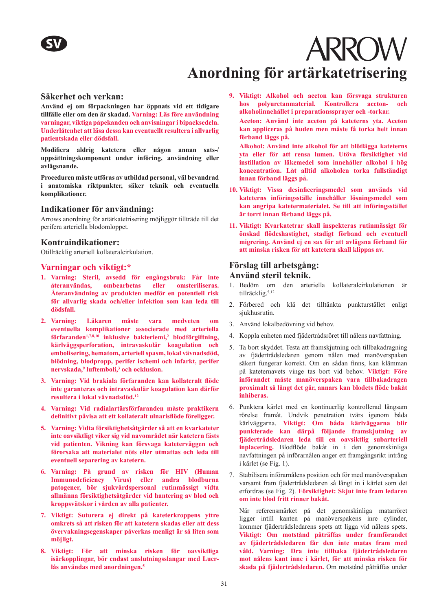

## **Anordning för artärkatetrisering**

#### **Säkerhet och verkan:**

**Använd ej om förpackningen har öppnats vid ett tidigare tillfälle eller om den är skadad. Varning: Läs före användning varningar, viktiga påpekanden och anvisningar i bipacksedeln. Underlåtenhet att läsa dessa kan eventuellt resultera i allvarlig patientskada eller dödsfall.**

**Modifiera aldrig katetern eller någon annan sats-/ uppsättningskomponent under införing, användning eller avlägsnande.** 

**Proceduren måste utföras av utbildad personal, väl bevandrad i anatomiska riktpunkter, säker teknik och eventuella komplikationer.**

#### **Indikationer för användning:**

Arrows anordning för artärkatetrisering möjliggör tillträde till det perifera arteriella blodomloppet.

#### **Kontraindikationer:**

Otillräcklig arteriell kollateralcirkulation.

#### **Varningar och viktigt:\***

- **1. Varning: Steril, avsedd för engångsbruk: Får inte återanvändas, ombearbetas eller omsteriliseras. Återanvändning av produkten medför en potentiell risk för allvarlig skada och/eller infektion som kan leda till dödsfall.**
- **2. Varning: Läkaren måste vara medveten om eventuella komplikationer associerade med arteriella förfaranden1,7,8,10 inklusive bakteriemi,2 blodförgiftning, kärlväggsperforation, intravaskulär koagulation och embolisering, hematom, arteriell spasm, lokal vävnadsdöd, blödning, blodpropp, perifer ischemi och infarkt, perifer nervskada,9 luftemboli,<sup>3</sup> och ocklusion.**
- **3. Varning: Vid brakiala förfaranden kan kollateralt flöde inte garanteras och intravaskulär koagulation kan därför resultera i lokal vävnadsdöd.<sup>12</sup>**
- **4. Varning: Vid radialartärsförfaranden måste praktikern definitivt påvisa att ett kollateralt ulnarisflöde föreligger.**
- **5. Varning: Vidta försiktighetsåtgärder så att en kvarkateter inte oavsiktligt viker sig vid navområdet när katetern fästs vid patienten. Vikning kan försvaga kateterväggen och förorsaka att materialet nöts eller utmattas och leda till eventuell separering av katetern.**
- **6. Varning: På grund av risken för HIV (Human Immunodeficiency Virus) eller andra blodburna patogener, bör sjukvårdspersonal rutinmässigt vidta allmänna försiktighetsåtgärder vid hantering av blod och kroppsvätskor i vården av alla patienter.**
- **7. Viktigt: Suturera ej direkt på kateterkroppens yttre omkrets så att risken för att katetern skadas eller att dess övervakningsegenskaper påverkas menligt är så liten som möjligt.**
- **8. Viktigt: För att minska risken för oavsiktliga isärkopplingar, bör endast anslutningsslangar med Luerlås användas med anordningen.<sup>5</sup>**

**9. Viktigt: Alkohol och aceton kan försvaga strukturen hos polyuretanmaterial. Kontrollera aceton- och alkoholinnehållet i preparationssprayer och -torkar.** 

**Aceton: Använd inte aceton på kateterns yta. Aceton kan appliceras på huden men måste få torka helt innan förband läggs på.**

**Alkohol: Använd inte alkohol för att blötlägga kateterns yta eller för att rensa lumen. Utöva försiktighet vid instillation av läkemedel som innehåller alkohol i hög koncentration. Låt alltid alkoholen torka fullständigt innan förband läggs på.**

- **10. Viktigt: Vissa desinficeringsmedel som används vid kateterns införingsställe innehåller lösningsmedel som kan angripa katetermaterialet. Se till att införingsstället är torrt innan förband läggs på.**
- **11. Viktigt: Kvarkatetrar skall inspekteras rutinmässigt för önskad flödeshastighet, stadigt förband och eventuell migrering. Använd ej en sax för att avlägsna förband för att minska risken för att katetern skall klippas av.**

#### **Förslag till arbetsgång:**

#### **Använd steril teknik.**

- 1. Bedöm om den arteriella kollateralcirkulationen är tillräcklig.<sup>5,12</sup>
- 2. Förbered och klä det tilltänkta punkturstället enligt siukhusrutin.
- 3. Använd lokalbedövning vid behov.
- 4. Koppla enheten med fjädertrådsröret till nålens navfattning.
- 5. Ta bort skyddet. Testa att framskjutning och tillbakadragning av fjädertrådsledaren genom nålen med manöverspaken säkert fungerar korrekt. Om en sådan finns, kan klämman på kateternavets vinge tas bort vid behov. **Viktigt: Före införandet måste manöverspaken vara tillbakadragen proximalt så långt det går, annars kan blodets flöde bakåt inhiberas.**
- 6. Punktera kärlet med en kontinuerlig kontrollerad långsam rörelse framåt. Undvik penetration tvärs igenom båda kärlväggarna. **Viktigt: Om båda kärlväggarna blir punkterade kan därpå följande framskjutning av fjädertrådsledaren leda till en oavsiktlig subarteriell inplacering.** Blodflöde bakåt in i den genomskinliga navfattningen på införarnålen anger ett framgångsrikt intrång i kärlet (se Fig. 1).
- 7. Stabilisera införarnålens position och för med manöverspaken varsamt fram fjädertrådsledaren så långt in i kärlet som det erfordras (se Fig. 2). **Försiktighet: Skjut inte fram ledaren om inte blod fritt rinner bakåt.**

När referensmärket på det genomskinliga matarröret ligger intill kanten på manöverspakens inre cylinder, kommer fjädertrådsledarens spets att ligga vid nålens spets. **Viktigt: Om motstånd påträffas under framförandet av fjädertrådsledaren får den inte matas fram med våld. Varning: Dra inte tillbaka fjädertrådsledaren mot nålens kant inne i kärlet, för att minska risken för skada på fjädertrådsledaren.** Om motstånd påträffas under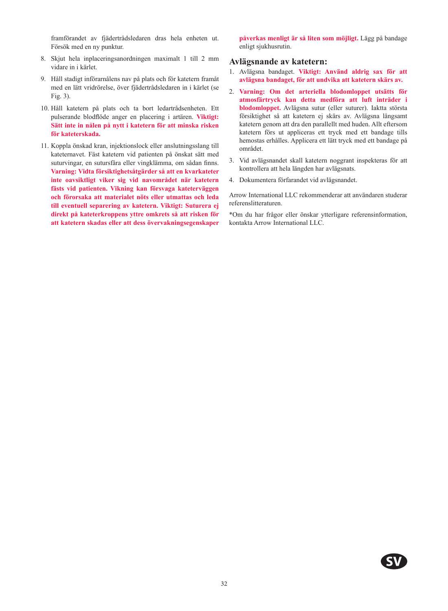framförandet av fjädertrådsledaren dras hela enheten ut. Försök med en ny punktur.

- 8. Skjut hela inplaceringsanordningen maximalt 1 till 2 mm vidare in i kärlet.
- 9. Håll stadigt införarnålens nav på plats och för katetern framåt med en lätt vridrörelse, över fjädertrådsledaren in i kärlet (se Fig. 3).
- 10. Håll katetern på plats och ta bort ledartrådsenheten. Ett pulserande blodflöde anger en placering i artären. **Viktigt: Sätt inte in nålen på nytt i katetern för att minska risken för kateterskada.**
- 11. Koppla önskad kran, injektionslock eller anslutningsslang till kateternavet. Fäst katetern vid patienten på önskat sätt med suturvingar, en sutursfåra eller vingklämma, om sådan finns. **Varning: Vidta försiktighetsåtgärder så att en kvarkateter inte oavsiktligt viker sig vid navområdet när katetern fästs vid patienten. Vikning kan försvaga kateterväggen och förorsaka att materialet nöts eller utmattas och leda till eventuell separering av katetern. Viktigt: Suturera ej direkt på kateterkroppens yttre omkrets så att risken för att katetern skadas eller att dess övervakningsegenskaper**

**påverkas menligt är så liten som möjligt.** Lägg på bandage enligt sjukhusrutin.

#### **Avlägsnande av katetern:**

- 1. Avlägsna bandaget. **Viktigt: Använd aldrig sax för att avlägsna bandaget, för att undvika att katetern skärs av.**
- 2. **Varning: Om det arteriella blodomloppet utsätts för atmosfärtryck kan detta medföra att luft inträder i blodomloppet.** Avlägsna sutur (eller suturer). Iaktta största försiktighet så att katetern ej skärs av. Avlägsna långsamt katetern genom att dra den parallellt med huden. Allt eftersom katetern förs ut appliceras ett tryck med ett bandage tills hemostas erhålles. Applicera ett lätt tryck med ett bandage på området.
- 3. Vid avlägsnandet skall katetern noggrant inspekteras för att kontrollera att hela längden har avlägsnats.
- 4. Dokumentera förfarandet vid avlägsnandet.

Arrow International LLC rekommenderar att användaren studerar referenslitteraturen.

\*Om du har frågor eller önskar ytterligare referensinformation, kontakta Arrow International LLC.

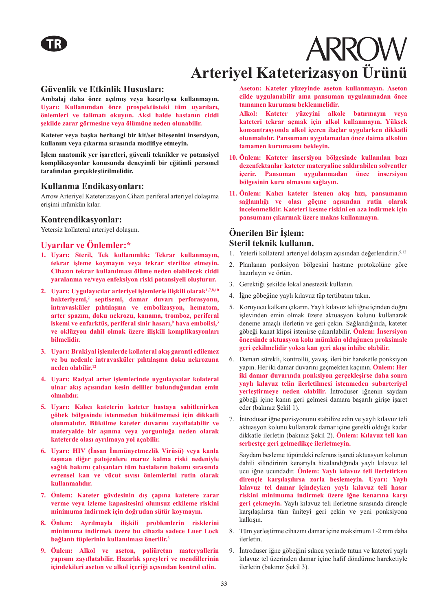# **ARROW Arteriyel Kateterizasyon Ürünü**

#### **Güvenlik ve Etkinlik Hususları:**

**Ambalaj daha önce açılmış veya hasarlıysa kullanmayın. Uyarı: Kullanımdan önce prospektüsteki tüm uyarıları, önlemleri ve talimatı okuyun. Aksi halde hastanın ciddi şekilde zarar görmesine veya ölümüne neden olunabilir.** 

**Kateter veya başka herhangi bir kit/set bileşenini insersiyon, kullanım veya çıkarma sırasında modifiye etmeyin.**

**İşlem anatomik yer işaretleri, güvenli teknikler ve potansiyel komplikasyonlar konusunda deneyimli bir eğitimli personel tarafından gerçekleştirilmelidir.**

#### **Kullanma Endikasyonları:**

Arrow Arteriyel Kateterizasyon Cihazı periferal arteriyel dolaşıma erişimi mümkün kılar.

#### **Kontrendikasyonlar:**

Yetersiz kollateral arteriyel dolaşım.

#### **Uyarılar ve Önlemler:\***

- **1. Uyarı: Steril, Tek kullanımlık: Tekrar kullanmayın, tekrar işleme koymayın veya tekrar sterilize etmeyin. Cihazın tekrar kullanılması ölüme neden olabilecek ciddi yaralanma ve/veya enfeksiyon riski potansiyeli oluşturur.**
- **2. Uyarı: Uygulayıcılar arteriyel işlemlerle ilişkili olarak1,7,8,10 bakteriyemi,2 septisemi, damar duvarı perforasyonu, intravasküler pıhtılaşma ve embolizasyon, hematom, arter spazmı, doku nekrozu, kanama, tromboz, periferal iskemi ve enfarktüs, periferal sinir hasarı,9 hava embolisi,<sup>3</sup> ve oklüzyon dahil olmak üzere ilişkili komplikasyonları bilmelidir.**
- **3. Uyarı: Brakiyal işlemlerde kollateral akış garanti edilemez ve bu nedenle intravasküler pıhtılaşma doku nekrozuna neden olabilir.<sup>12</sup>**
- **4. Uyarı: Radyal arter işlemlerinde uygulayıcılar kolateral ulnar akış açısından kesin deliller bulunduğundan emin olmalıdır.**
- **5. Uyarı: Kalıcı kateterin kateter hastaya sabitlenirken göbek bölgesinde istenmeden bükülmemesi için dikkatli olunmalıdır. Bükülme kateter duvarını zayıflatabilir ve materyalde bir aşınma veya yorgunluğa neden olarak kateterde olası ayrılmaya yol açabilir.**
- **6. Uyarı: HIV (İnsan İmmünyetmezlik Virüsü) veya kanla taşınan diğer patojenlere maruz kalma riski nedeniyle sağlık bakımı çalışanları tüm hastaların bakımı sırasında evrensel kan ve vücut sıvısı önlemlerini rutin olarak kullanmalıdır.**
- **7. Önlem: Kateter gövdesinin dış çapına katetere zarar verme veya izleme kapasitesini olumsuz etkileme riskini minimuma indirmek için doğrudan sütür koymayın.**
- **8. Önlem: Ayrılmayla ilişkili problemlerin risklerini minimuma indirmek üzere bu cihazla sadece Luer Lock bağlantı tüplerinin kullanılması önerilir.<sup>5</sup>**
- **9. Önlem: Alkol ve aseton, poliüretan materyallerin yapısını zayıflatabilir. Hazırlık spreyleri ve mendillerinin içindekileri aseton ve alkol içeriği açısından kontrol edin.**

**Aseton: Kateter yüzeyinde aseton kullanmayın. Aseton cilde uygulanabilir ama pansuman uygulanmadan önce tamamen kuruması beklenmelidir.**

**Alkol: Kateter yüzeyini alkole batırmayın veya kateteri tekrar açmak için alkol kullanmayın. Yüksek konsantrasyonda alkol içeren ilaçlar uygularken dikkatli olunmalıdır. Pansumanı uygulamadan önce daima alkolün tamamen kurumasını bekleyin.** 

- **10. Önlem: Kateter insersiyon bölgesinde kullanılan bazı dezenfektanlar kateter materyaline saldırabilen solventler içerir. Pansuman uygulanmadan önce insersiyon bölgesinin kuru olmasını sağlayın.**
- **11. Önlem: Kalıcı kateter istenen akış hızı, pansumanın sağlamlığı ve olası göçme açısından rutin olarak incelenmelidir. Kateteri kesme riskini en aza indirmek için pansumanı çıkarmak üzere makas kullanmayın.**

#### **Önerilen Bir İşlem: Steril teknik kullanın.**

- 1. Yeterli kollateral arteriyel dolaşım açısından değerlendirin.<sup>5,12</sup>
- 2. Planlanan ponksiyon bölgesini hastane protokolüne göre hazırlayın ve örtün.
- 3. Gerektiği şekilde lokal anestezik kullanın.
- 4. İğne göbeğine yaylı kılavuz tüp tertibatını takın.
- 5. Koruyucu kalkanı çıkarın. Yaylı kılavuz teli iğne içinden doğru işlevinden emin olmak üzere aktuasyon kolunu kullanarak deneme amaçlı ilerletin ve geri çekin. Sağlandığında, kateter göbeği kanat klipsi istenirse çıkarılabilir. **Önlem: İnsersiyon öncesinde aktuasyon kolu mümkün olduğunca proksimale geri çekilmelidir yoksa kan geri akışı inhibe olabilir.**
- 6. Damarı sürekli, kontrollü, yavaş, ileri bir hareketle ponksiyon yapın. Her iki damar duvarını geçmekten kaçının. **Önlem: Her iki damar duvarında ponksiyon gerçekleşirse daha sonra yaylı kılavuz telin ilerletilmesi istenmeden subarteriyel yerleştirmeye neden olabilir.** İntroduser iğnenin saydam göbeği içine kanın geri gelmesi damara başarılı girişe işaret eder (bakınız Şekil 1).
- 7. İntroduser iğne pozisyonunu stabilize edin ve yaylı kılavuz teli aktuasyon kolunu kullanarak damar içine gerekli olduğu kadar dikkatle ilerletin (bakınız Şekil 2). **Önlem: Kılavuz teli kan serbestçe geri gelmedikçe ilerletmeyin.**

Saydam besleme tüpündeki referans işareti aktuasyon kolunun dahili silindirinin kenarıyla hizalandığında yaylı kılavuz tel ucu iğne ucundadır. **Önlem: Yaylı kılavuz teli ilerletirken dirençle karşılaşılırsa zorla beslemeyin. Uyarı: Yaylı kılavuz tel damar içindeyken yaylı kılavuz teli hasar riskini minimuma indirmek üzere iğne kenarına karşı geri çekmeyin.** Yaylı kılavuz teli ilerletme sırasında dirençle karşılaşılırsa tüm üniteyi geri çekin ve yeni ponksiyona kalkışın.

- 8. Tüm yerleştirme cihazını damar içine maksimum 1-2 mm daha ilerletin.
- 9. İntroduser iğne göbeğini sıkıca yerinde tutun ve kateteri yaylı kılavuz tel üzerinden damar içine hafif döndürme hareketiyle ilerletin (bakınız Şekil 3).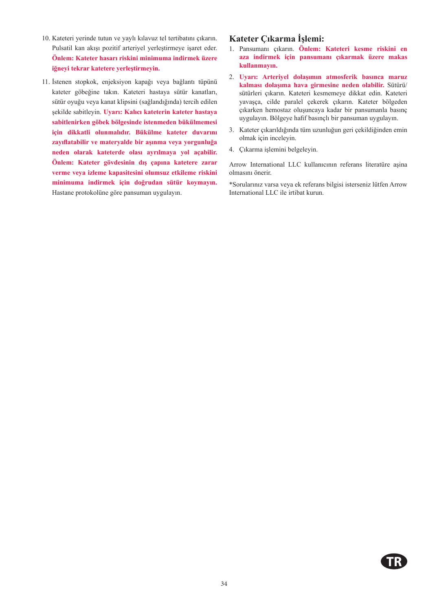- 10. Kateteri yerinde tutun ve yaylı kılavuz tel tertibatını çıkarın. Pulsatil kan akışı pozitif arteriyel yerleştirmeye işaret eder. **Önlem: Kateter hasarı riskini minimuma indirmek üzere iğneyi tekrar katetere yerleştirmeyin.**
- 11. İstenen stopkok, enjeksiyon kapağı veya bağlantı tüpünü kateter göbeğine takın. Kateteri hastaya sütür kanatları, sütür oyuğu veya kanat klipsini (sağlandığında) tercih edilen şekilde sabitleyin. **Uyarı: Kalıcı kateterin kateter hastaya sabitlenirken göbek bölgesinde istenmeden bükülmemesi için dikkatli olunmalıdır. Bükülme kateter duvarını zayıflatabilir ve materyalde bir aşınma veya yorgunluğa neden olarak kateterde olası ayrılmaya yol açabilir. Önlem: Kateter gövdesinin dış çapına katetere zarar verme veya izleme kapasitesini olumsuz etkileme riskini minimuma indirmek için doğrudan sütür koymayın.**  Hastane protokolüne göre pansuman uygulayın.

#### **Kateter Çıkarma İşlemi:**

- 1. Pansumanı çıkarın. **Önlem: Kateteri kesme riskini en aza indirmek için pansumanı çıkarmak üzere makas kullanmayın.**
- 2. **Uyarı: Arteriyel dolaşımın atmosferik basınca maruz kalması dolaşıma hava girmesine neden olabilir.** Sütürü/ sütürleri çıkarın. Kateteri kesmemeye dikkat edin. Kateteri yavaşça, cilde paralel çekerek çıkarın. Kateter bölgeden çıkarken hemostaz oluşuncaya kadar bir pansumanla basınç uygulayın. Bölgeye hafif basınçlı bir pansuman uygulayın.
- 3. Kateter çıkarıldığında tüm uzunluğun geri çekildiğinden emin olmak için inceleyin.
- 4. Çıkarma işlemini belgeleyin.

Arrow International LLC kullanıcının referans literatüre aşina olmasını önerir.

\*Sorularınız varsa veya ek referans bilgisi isterseniz lütfen Arrow International LLC ile irtibat kurun.